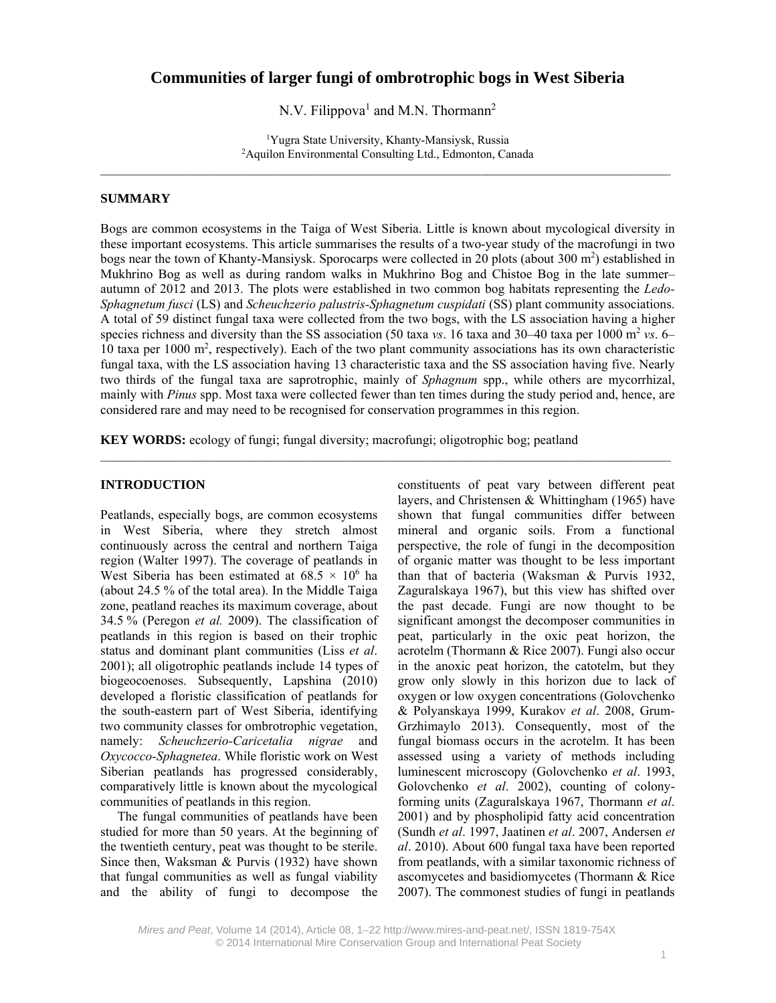# **Communities of larger fungi of ombrotrophic bogs in West Siberia**

N.V. Filippova<sup>1</sup> and M.N. Thormann<sup>2</sup>

1 Yugra State University, Khanty-Mansiysk, Russia 2 Aquilon Environmental Consulting Ltd., Edmonton, Canada  $\mathcal{L}_\mathcal{L} = \{ \mathcal{L}_\mathcal{L} = \{ \mathcal{L}_\mathcal{L} = \{ \mathcal{L}_\mathcal{L} = \{ \mathcal{L}_\mathcal{L} = \{ \mathcal{L}_\mathcal{L} = \{ \mathcal{L}_\mathcal{L} = \{ \mathcal{L}_\mathcal{L} = \{ \mathcal{L}_\mathcal{L} = \{ \mathcal{L}_\mathcal{L} = \{ \mathcal{L}_\mathcal{L} = \{ \mathcal{L}_\mathcal{L} = \{ \mathcal{L}_\mathcal{L} = \{ \mathcal{L}_\mathcal{L} = \{ \mathcal{L}_\mathcal{$ 

# **SUMMARY**

Bogs are common ecosystems in the Taiga of West Siberia. Little is known about mycological diversity in these important ecosystems. This article summarises the results of a two-year study of the macrofungi in two bogs near the town of Khanty-Mansiysk. Sporocarps were collected in 20 plots (about 300 m<sup>2</sup>) established in Mukhrino Bog as well as during random walks in Mukhrino Bog and Chistoe Bog in the late summer– autumn of 2012 and 2013. The plots were established in two common bog habitats representing the *Ledo-Sphagnetum fusci* (LS) and *Scheuchzerio palustris-Sphagnetum cuspidati* (SS) plant community associations. A total of 59 distinct fungal taxa were collected from the two bogs, with the LS association having a higher species richness and diversity than the SS association (50 taxa *vs.* 16 taxa and 30–40 taxa per 1000 m<sup>2</sup> *vs.* 6– 10 taxa per 1000 m<sup>2</sup>, respectively). Each of the two plant community associations has its own characteristic fungal taxa, with the LS association having 13 characteristic taxa and the SS association having five. Nearly two thirds of the fungal taxa are saprotrophic, mainly of *Sphagnum* spp., while others are mycorrhizal, mainly with *Pinus* spp. Most taxa were collected fewer than ten times during the study period and, hence, are considered rare and may need to be recognised for conservation programmes in this region.

**KEY WORDS:** ecology of fungi; fungal diversity; macrofungi; oligotrophic bog; peatland

#### **INTRODUCTION**

Peatlands, especially bogs, are common ecosystems in West Siberia, where they stretch almost continuously across the central and northern Taiga region (Walter 1997). The coverage of peatlands in West Siberia has been estimated at  $68.5 \times 10^6$  ha (about 24.5 % of the total area). In the Middle Taiga zone, peatland reaches its maximum coverage, about 34.5 % (Peregon *et al.* 2009). The classification of peatlands in this region is based on their trophic status and dominant plant communities (Liss *et al*. 2001); all oligotrophic peatlands include 14 types of biogeocoenoses. Subsequently, Lapshina (2010) developed a floristic classification of peatlands for the south-eastern part of West Siberia, identifying two community classes for ombrotrophic vegetation, namely: *Scheuchzerio-Caricetalia nigrae* and *Oxycocco-Sphagnetea*. While floristic work on West Siberian peatlands has progressed considerably, comparatively little is known about the mycological communities of peatlands in this region.

The fungal communities of peatlands have been studied for more than 50 years. At the beginning of the twentieth century, peat was thought to be sterile. Since then, Waksman & Purvis (1932) have shown that fungal communities as well as fungal viability and the ability of fungi to decompose the

constituents of peat vary between different peat layers, and Christensen & Whittingham (1965) have shown that fungal communities differ between mineral and organic soils. From a functional perspective, the role of fungi in the decomposition of organic matter was thought to be less important than that of bacteria (Waksman & Purvis 1932, Zaguralskaya 1967), but this view has shifted over the past decade. Fungi are now thought to be significant amongst the decomposer communities in peat, particularly in the oxic peat horizon, the acrotelm (Thormann & Rice 2007). Fungi also occur in the anoxic peat horizon, the catotelm, but they grow only slowly in this horizon due to lack of oxygen or low oxygen concentrations (Golovchenko & Polyanskaya 1999, Kurakov *et al*. 2008, Grum-Grzhimaylo 2013). Consequently, most of the fungal biomass occurs in the acrotelm. It has been assessed using a variety of methods including luminescent microscopy (Golovchenko *et al*. 1993, Golovchenko *et al*. 2002), counting of colonyforming units (Zaguralskaya 1967, Thormann *et al*. 2001) and by phospholipid fatty acid concentration (Sundh *et al*. 1997, Jaatinen *et al*. 2007, Andersen *et al*. 2010). About 600 fungal taxa have been reported from peatlands, with a similar taxonomic richness of ascomycetes and basidiomycetes (Thormann & Rice 2007). The commonest studies of fungi in peatlands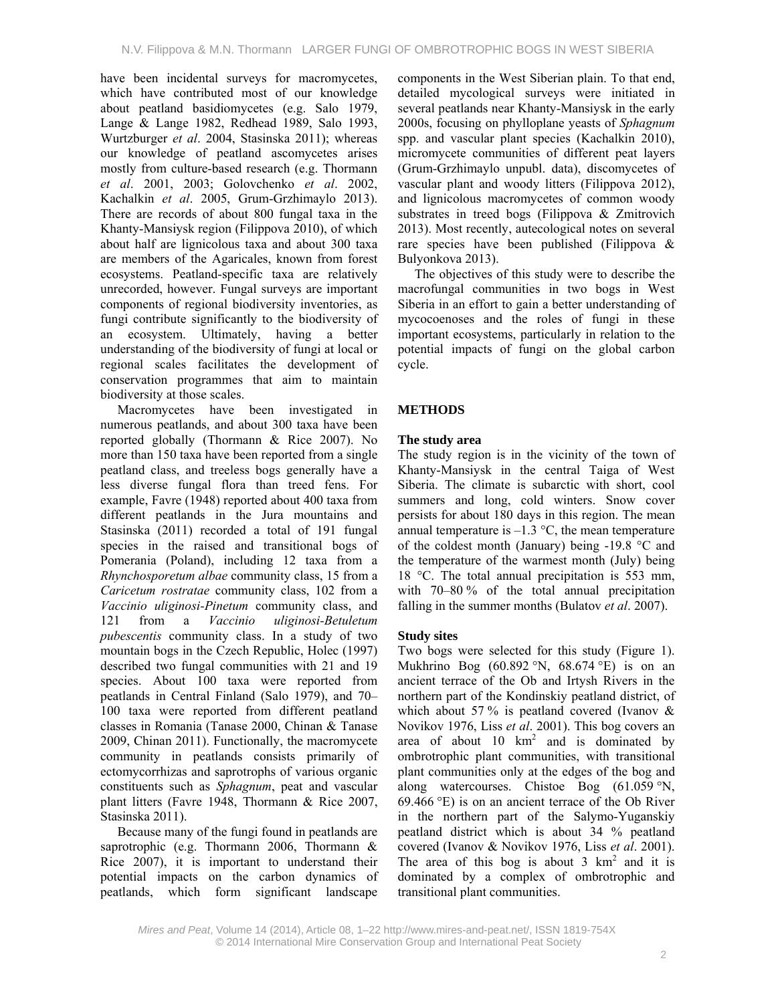have been incidental surveys for macromycetes, which have contributed most of our knowledge about peatland basidiomycetes (e.g. Salo 1979, Lange & Lange 1982, Redhead 1989, Salo 1993, Wurtzburger *et al*. 2004, Stasinska 2011); whereas our knowledge of peatland ascomycetes arises mostly from culture-based research (e.g. Thormann *et al*. 2001, 2003; Golovchenko *et al*. 2002, Kachalkin *et al*. 2005, Grum-Grzhimaylo 2013). There are records of about 800 fungal taxa in the Khanty-Mansiysk region (Filippova 2010), of which about half are lignicolous taxa and about 300 taxa are members of the Agaricales, known from forest ecosystems. Peatland-specific taxa are relatively unrecorded, however. Fungal surveys are important components of regional biodiversity inventories, as fungi contribute significantly to the biodiversity of an ecosystem. Ultimately, having a better understanding of the biodiversity of fungi at local or regional scales facilitates the development of conservation programmes that aim to maintain biodiversity at those scales.

Macromycetes have been investigated in numerous peatlands, and about 300 taxa have been reported globally (Thormann & Rice 2007). No more than 150 taxa have been reported from a single peatland class, and treeless bogs generally have a less diverse fungal flora than treed fens. For example, Favre (1948) reported about 400 taxa from different peatlands in the Jura mountains and Stasinska (2011) recorded a total of 191 fungal species in the raised and transitional bogs of Pomerania (Poland), including 12 taxa from a *Rhynchosporetum albae* community class, 15 from a *Caricetum rostratae* community class, 102 from a *Vaccinio uliginosi-Pinetum* community class, and 121 from a *Vaccinio uliginosi-Betuletum pubescentis* community class. In a study of two mountain bogs in the Czech Republic, Holec (1997) described two fungal communities with 21 and 19 species. About 100 taxa were reported from peatlands in Central Finland (Salo 1979), and 70– 100 taxa were reported from different peatland classes in Romania (Tanase 2000, Chinan & Tanase 2009, Chinan 2011). Functionally, the macromycete community in peatlands consists primarily of ectomycorrhizas and saprotrophs of various organic constituents such as *Sphagnum*, peat and vascular plant litters (Favre 1948, Thormann & Rice 2007, Stasinska 2011).

Because many of the fungi found in peatlands are saprotrophic (e.g. Thormann 2006, Thormann & Rice 2007), it is important to understand their potential impacts on the carbon dynamics of peatlands, which form significant landscape

components in the West Siberian plain. To that end, detailed mycological surveys were initiated in several peatlands near Khanty-Mansiysk in the early 2000s, focusing on phylloplane yeasts of *Sphagnum* spp. and vascular plant species (Kachalkin 2010), micromycete communities of different peat layers (Grum-Grzhimaylo unpubl. data), discomycetes of vascular plant and woody litters (Filippova 2012), and lignicolous macromycetes of common woody substrates in treed bogs (Filippova & Zmitrovich 2013). Most recently, autecological notes on several rare species have been published (Filippova & Bulyonkova 2013).

The objectives of this study were to describe the macrofungal communities in two bogs in West Siberia in an effort to gain a better understanding of mycocoenoses and the roles of fungi in these important ecosystems, particularly in relation to the potential impacts of fungi on the global carbon cycle.

# **METHODS**

# **The study area**

The study region is in the vicinity of the town of Khanty-Mansiysk in the central Taiga of West Siberia. The climate is subarctic with short, cool summers and long, cold winters. Snow cover persists for about 180 days in this region. The mean annual temperature is  $-1.3$  °C, the mean temperature of the coldest month (January) being -19.8 °C and the temperature of the warmest month (July) being 18 °C. The total annual precipitation is 553 mm, with 70–80 % of the total annual precipitation falling in the summer months (Bulatov *et al*. 2007).

# **Study sites**

Two bogs were selected for this study (Figure 1). Mukhrino Bog  $(60.892 \degree N, 68.674 \degree E)$  is on an ancient terrace of the Ob and Irtysh Rivers in the northern part of the Kondinskiy peatland district, of which about 57 % is peatland covered (Ivanov  $\&$ Novikov 1976, Liss *et al*. 2001). This bog covers an area of about  $10 \text{ km}^2$  and is dominated by ombrotrophic plant communities, with transitional plant communities only at the edges of the bog and along watercourses. Chistoe Bog (61.059 °N,  $69.466$  °E) is on an ancient terrace of the Ob River in the northern part of the Salymo-Yuganskiy peatland district which is about 34 % peatland covered (Ivanov & Novikov 1976, Liss *et al*. 2001). The area of this bog is about  $3 \text{ km}^2$  and it is dominated by a complex of ombrotrophic and transitional plant communities.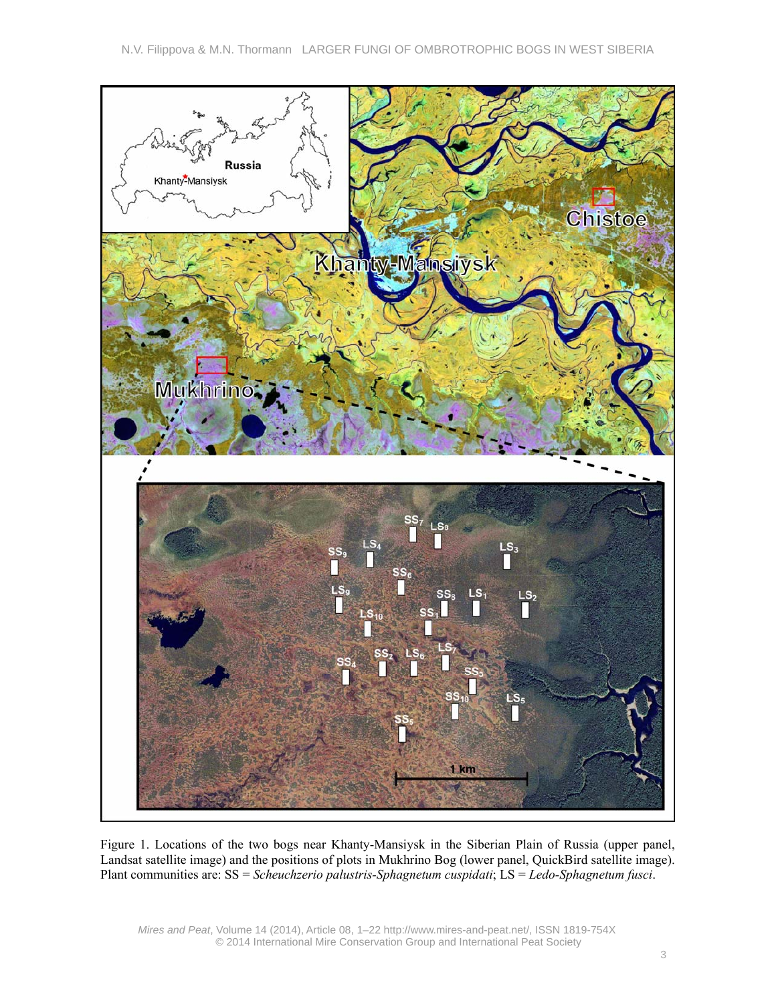

Figure 1. Locations of the two bogs near Khanty-Mansiysk in the Siberian Plain of Russia (upper panel, Landsat satellite image) and the positions of plots in Mukhrino Bog (lower panel, QuickBird satellite image). Plant communities are: SS = *Scheuchzerio palustris-Sphagnetum cuspidati*; LS = *Ledo-Sphagnetum fusci*.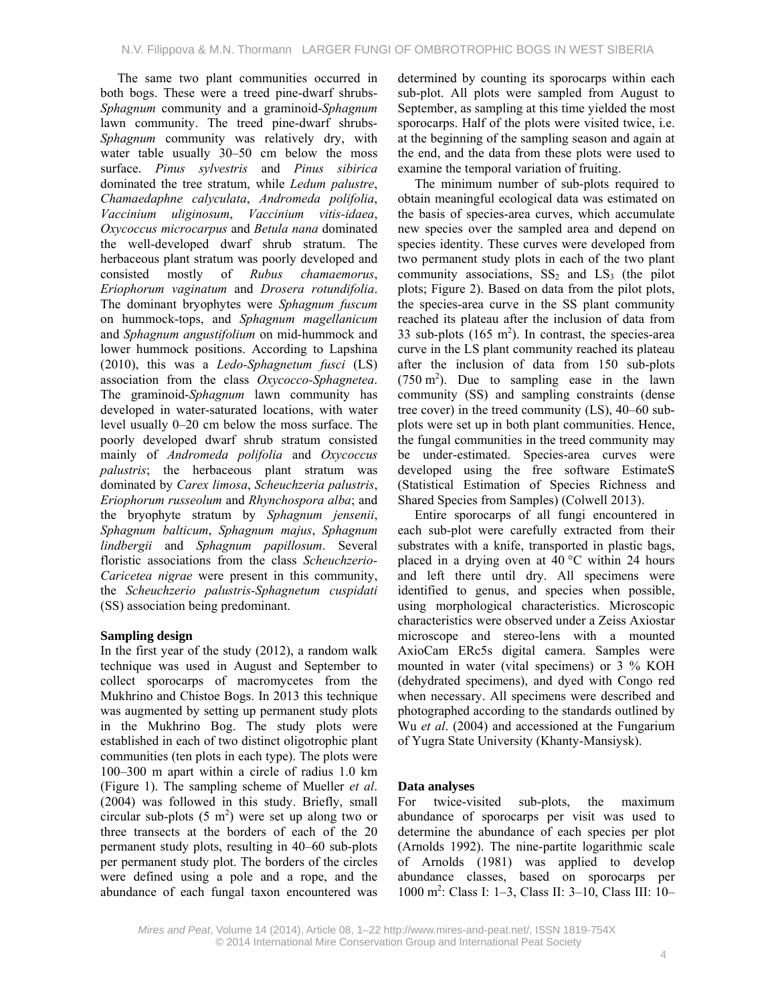The same two plant communities occurred in both bogs. These were a treed pine-dwarf shrubs-*Sphagnum* community and a graminoid-*Sphagnum* lawn community. The treed pine-dwarf shrubs-*Sphagnum* community was relatively dry, with water table usually 30–50 cm below the moss surface. *Pinus sylvestris* and *Pinus sibirica* dominated the tree stratum, while *Ledum palustre*, *Chamaedaphne calyculata*, *Andromeda polifolia*, *Vaccinium uliginosum*, *Vaccinium vitis-idaea*, *Oxycoccus microcarpus* and *Betula nana* dominated the well-developed dwarf shrub stratum. The herbaceous plant stratum was poorly developed and consisted mostly of *Rubus chamaemorus*, *Eriophorum vaginatum* and *Drosera rotundifolia*. The dominant bryophytes were *Sphagnum fuscum* on hummock-tops, and *Sphagnum magellanicum*  and *Sphagnum angustifolium* on mid-hummock and lower hummock positions. According to Lapshina (2010), this was a *Ledo-Sphagnetum fusci* (LS) association from the class *Oxycocco-Sphagnetea*. The graminoid-*Sphagnum* lawn community has developed in water-saturated locations, with water level usually 0–20 cm below the moss surface. The poorly developed dwarf shrub stratum consisted mainly of *Andromeda polifolia* and *Oxycoccus palustris*; the herbaceous plant stratum was dominated by *Carex limosa*, *Scheuchzeria palustris*, *Eriophorum russeolum* and *Rhynchospora alba*; and the bryophyte stratum by *Sphagnum jensenii*, *Sphagnum balticum*, *Sphagnum majus*, *Sphagnum lindbergii* and *Sphagnum papillosum*. Several floristic associations from the class *Scheuchzerio-Caricetea nigrae* were present in this community, the *Scheuchzerio palustris-Sphagnetum cuspidati*  (SS) association being predominant.

# **Sampling design**

In the first year of the study (2012), a random walk technique was used in August and September to collect sporocarps of macromycetes from the Mukhrino and Chistoe Bogs. In 2013 this technique was augmented by setting up permanent study plots in the Mukhrino Bog. The study plots were established in each of two distinct oligotrophic plant communities (ten plots in each type). The plots were 100–300 m apart within a circle of radius 1.0 km (Figure 1). The sampling scheme of Mueller *et al*. (2004) was followed in this study. Briefly, small circular sub-plots  $(5 \text{ m}^2)$  were set up along two or three transects at the borders of each of the 20 permanent study plots, resulting in 40–60 sub-plots per permanent study plot. The borders of the circles were defined using a pole and a rope, and the abundance of each fungal taxon encountered was

determined by counting its sporocarps within each sub-plot. All plots were sampled from August to September, as sampling at this time yielded the most sporocarps. Half of the plots were visited twice, i.e. at the beginning of the sampling season and again at the end, and the data from these plots were used to examine the temporal variation of fruiting.

The minimum number of sub-plots required to obtain meaningful ecological data was estimated on the basis of species-area curves, which accumulate new species over the sampled area and depend on species identity. These curves were developed from two permanent study plots in each of the two plant community associations,  $SS_2$  and  $LS_3$  (the pilot plots; Figure 2). Based on data from the pilot plots, the species-area curve in the SS plant community reached its plateau after the inclusion of data from 33 sub-plots  $(165 \text{ m}^2)$ . In contrast, the species-area curve in the LS plant community reached its plateau after the inclusion of data from 150 sub-plots  $(750 \text{ m}^2)$ . Due to sampling ease in the lawn community (SS) and sampling constraints (dense tree cover) in the treed community (LS), 40–60 subplots were set up in both plant communities. Hence, the fungal communities in the treed community may be under-estimated. Species-area curves were developed using the free software EstimateS (Statistical Estimation of Species Richness and Shared Species from Samples) (Colwell 2013).

Entire sporocarps of all fungi encountered in each sub-plot were carefully extracted from their substrates with a knife, transported in plastic bags, placed in a drying oven at  $40^{\circ}$ C within 24 hours and left there until dry. All specimens were identified to genus, and species when possible, using morphological characteristics. Microscopic characteristics were observed under a Zeiss Axiostar microscope and stereo-lens with a mounted AxioCam ERc5s digital camera. Samples were mounted in water (vital specimens) or 3 % KOH (dehydrated specimens), and dyed with Congo red when necessary. All specimens were described and photographed according to the standards outlined by Wu *et al*. (2004) and accessioned at the Fungarium of Yugra State University (Khanty-Mansiysk).

# **Data analyses**

For twice-visited sub-plots, the maximum abundance of sporocarps per visit was used to determine the abundance of each species per plot (Arnolds 1992). The nine-partite logarithmic scale of Arnolds (1981) was applied to develop abundance classes, based on sporocarps per 1000 m2 : Class I: 1–3, Class II: 3–10, Class III: 10–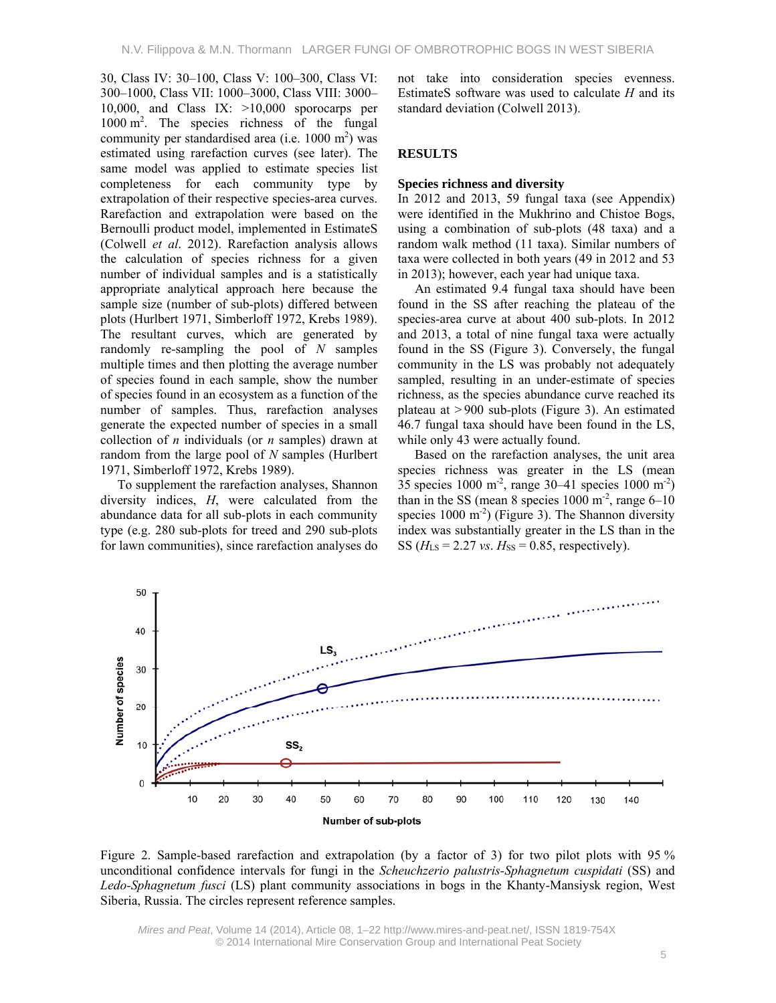30, Class IV: 30–100, Class V: 100–300, Class VI: 300–1000, Class VII: 1000–3000, Class VIII: 3000– 10,000, and Class IX:  $>10,000$  sporocarps per 1000 m2 . The species richness of the fungal community per standardised area (i.e.  $1000 \text{ m}^2$ ) was estimated using rarefaction curves (see later). The same model was applied to estimate species list completeness for each community type by extrapolation of their respective species-area curves. Rarefaction and extrapolation were based on the Bernoulli product model, implemented in EstimateS (Colwell *et al*. 2012). Rarefaction analysis allows the calculation of species richness for a given number of individual samples and is a statistically appropriate analytical approach here because the sample size (number of sub-plots) differed between plots (Hurlbert 1971, Simberloff 1972, Krebs 1989). The resultant curves, which are generated by randomly re-sampling the pool of *N* samples multiple times and then plotting the average number of species found in each sample, show the number of species found in an ecosystem as a function of the number of samples. Thus, rarefaction analyses generate the expected number of species in a small collection of *n* individuals (or *n* samples) drawn at random from the large pool of *N* samples (Hurlbert 1971, Simberloff 1972, Krebs 1989).

To supplement the rarefaction analyses, Shannon diversity indices, *H*, were calculated from the abundance data for all sub-plots in each community type (e.g. 280 sub-plots for treed and 290 sub-plots for lawn communities), since rarefaction analyses do not take into consideration species evenness. EstimateS software was used to calculate *H* and its standard deviation (Colwell 2013).

# **RESULTS**

#### **Species richness and diversity**

In 2012 and 2013, 59 fungal taxa (see Appendix) were identified in the Mukhrino and Chistoe Bogs, using a combination of sub-plots (48 taxa) and a random walk method (11 taxa). Similar numbers of taxa were collected in both years (49 in 2012 and 53 in 2013); however, each year had unique taxa.

An estimated 9.4 fungal taxa should have been found in the SS after reaching the plateau of the species-area curve at about 400 sub-plots. In 2012 and 2013, a total of nine fungal taxa were actually found in the SS (Figure 3). Conversely, the fungal community in the LS was probably not adequately sampled, resulting in an under-estimate of species richness, as the species abundance curve reached its plateau at > 900 sub-plots (Figure 3). An estimated 46.7 fungal taxa should have been found in the LS, while only 43 were actually found.

Based on the rarefaction analyses, the unit area species richness was greater in the LS (mean 35 species 1000 m<sup>-2</sup>, range 30–41 species 1000 m<sup>-2</sup>) than in the SS (mean 8 species  $1000 \text{ m}^2$ , range  $6-10$ species  $1000 \text{ m}^2$ ) (Figure 3). The Shannon diversity index was substantially greater in the LS than in the SS ( $H_{LS}$  = 2.27 *vs*.  $H_{SS}$  = 0.85, respectively).



Figure 2. Sample-based rarefaction and extrapolation (by a factor of 3) for two pilot plots with 95 % unconditional confidence intervals for fungi in the *Scheuchzerio palustris-Sphagnetum cuspidati* (SS) and *Ledo-Sphagnetum fusci* (LS) plant community associations in bogs in the Khanty-Mansiysk region, West Siberia, Russia. The circles represent reference samples.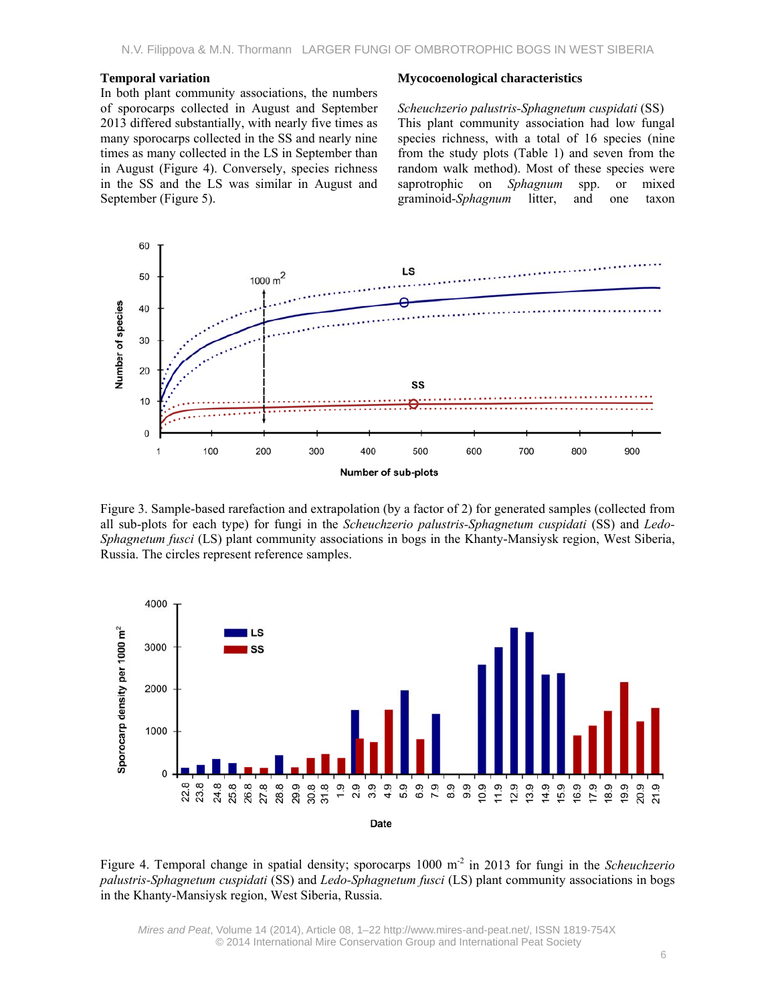#### **Temporal variation**

In both plant community associations, the numbers of sporocarps collected in August and September 2013 differed substantially, with nearly five times as many sporocarps collected in the SS and nearly nine times as many collected in the LS in September than in August (Figure 4). Conversely, species richness in the SS and the LS was similar in August and September (Figure 5).

#### **Mycocoenological characteristics**

*Scheuchzerio palustris-Sphagnetum cuspidati* (SS) This plant community association had low fungal species richness, with a total of 16 species (nine from the study plots (Table 1) and seven from the random walk method). Most of these species were saprotrophic on *Sphagnum* spp. or mixed graminoid-*Sphagnum* litter, and one taxon



Figure 3. Sample-based rarefaction and extrapolation (by a factor of 2) for generated samples (collected from all sub-plots for each type) for fungi in the *Scheuchzerio palustris-Sphagnetum cuspidati* (SS) and *Ledo-Sphagnetum fusci* (LS) plant community associations in bogs in the Khanty-Mansiysk region, West Siberia, Russia. The circles represent reference samples.



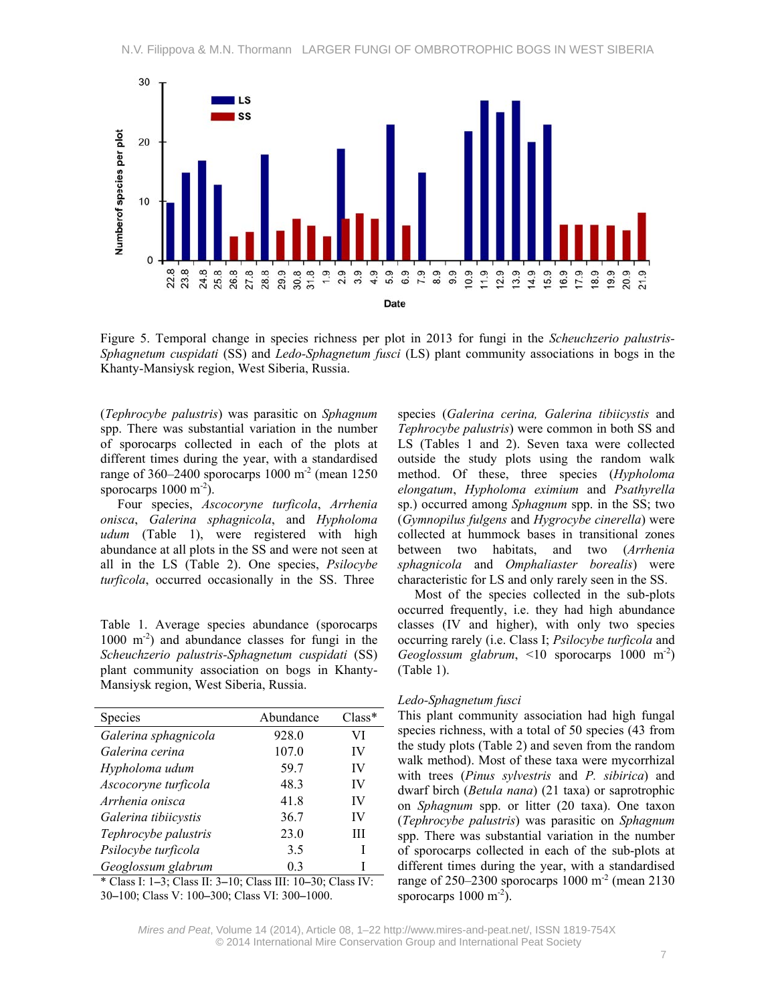

Figure 5. Temporal change in species richness per plot in 2013 for fungi in the *Scheuchzerio palustris-Sphagnetum cuspidati* (SS) and *Ledo-Sphagnetum fusci* (LS) plant community associations in bogs in the Khanty-Mansiysk region, West Siberia, Russia.

(*Tephrocybe palustris*) was parasitic on *Sphagnum* spp. There was substantial variation in the number of sporocarps collected in each of the plots at different times during the year, with a standardised range of 360–2400 sporocarps 1000 m<sup>-2</sup> (mean 1250 sporocarps  $1000 \text{ m}^{-2}$ ).

Four species, *Ascocoryne turficola*, *Arrhenia onisca*, *Galerina sphagnicola*, and *Hypholoma udum* (Table 1), were registered with high abundance at all plots in the SS and were not seen at all in the LS (Table 2). One species, *Psilocybe turficola*, occurred occasionally in the SS. Three

Table 1. Average species abundance (sporocarps  $1000 \text{ m}^{-2}$ ) and abundance classes for fungi in the *Scheuchzerio palustris-Sphagnetum cuspidati* (SS) plant community association on bogs in Khanty-Mansiysk region, West Siberia, Russia.

| <b>Species</b>                       | Abundance | $Class*$ |
|--------------------------------------|-----------|----------|
| Galerina sphagnicola                 | 928.0     | VI       |
| Galerina cerina                      | 107.0     | IV       |
| Hypholoma udum                       | 59.7      | IV       |
| Ascocoryne turficola                 | 48.3      | IV       |
| Arrhenia onisca                      | 41.8      | IV       |
| Galerina tibiicystis                 | 36.7      | IV       |
| Tephrocybe palustris                 | 23.0      | Ш        |
| Psilocybe turficola                  | 3.5       | I        |
| Geoglossum glabrum                   | 0.3       | I        |
| * @ T T 1 2 @ T 2 10 @ TH 10 20 @ TH |           |          |

\* Class I: 1**–**3; Class II: 3**–**10; Class III: 10**–**30; Class IV: 30**–**100; Class V: 100**–**300; Class VI: 300**–**1000.

species (*Galerina cerina, Galerina tibiicystis* and *Tephrocybe palustris*) were common in both SS and LS (Tables 1 and 2). Seven taxa were collected outside the study plots using the random walk method. Of these, three species (*Hypholoma elongatum*, *Hypholoma eximium* and *Psathyrella*  sp.) occurred among *Sphagnum* spp. in the SS; two (*Gymnopilus fulgens* and *Hygrocybe cinerella*) were collected at hummock bases in transitional zones between two habitats, and two (*Arrhenia sphagnicola* and *Omphaliaster borealis*) were characteristic for LS and only rarely seen in the SS.

Most of the species collected in the sub-plots occurred frequently, i.e. they had high abundance classes (IV and higher), with only two species occurring rarely (i.e. Class I; *Psilocybe turficola* and *Geoglossum glabrum*, <10 sporocarps 1000 m-2) (Table 1).

### *Ledo-Sphagnetum fusci*

This plant community association had high fungal species richness, with a total of 50 species (43 from the study plots (Table 2) and seven from the random walk method). Most of these taxa were mycorrhizal with trees (*Pinus sylvestris* and *P. sibirica*) and dwarf birch (*Betula nana*) (21 taxa) or saprotrophic on *Sphagnum* spp. or litter (20 taxa). One taxon (*Tephrocybe palustris*) was parasitic on *Sphagnum* spp. There was substantial variation in the number of sporocarps collected in each of the sub-plots at different times during the year, with a standardised range of  $250-2300$  sporocarps 1000 m<sup>-2</sup> (mean 2130) sporocarps  $1000 \text{ m}^{-2}$ ).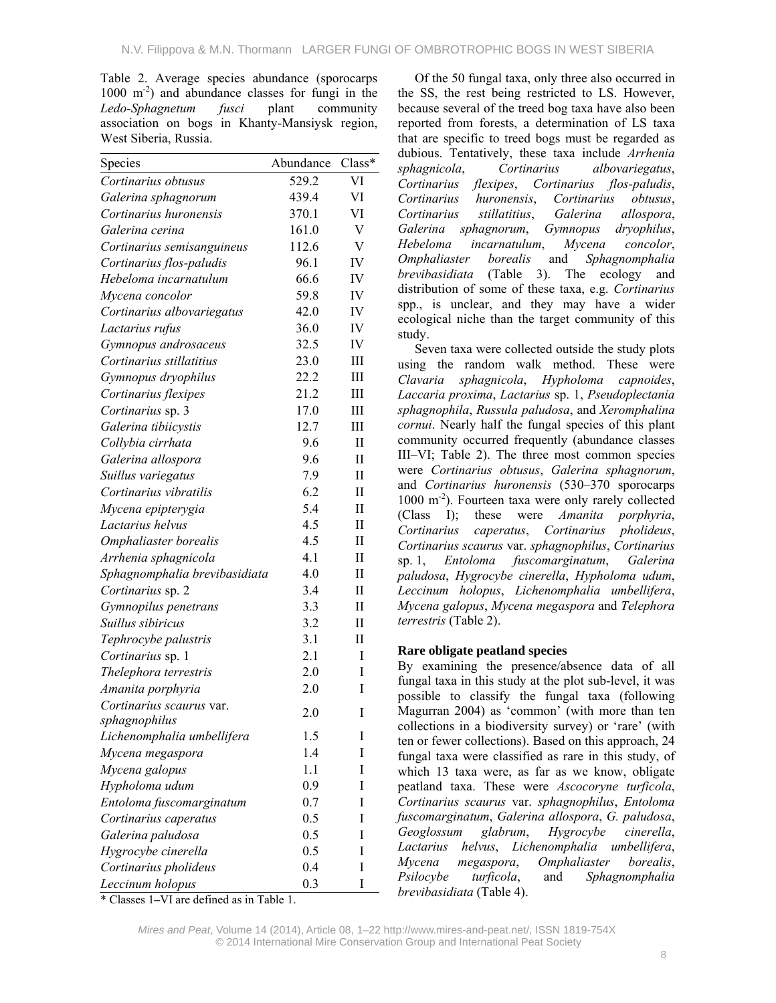Table 2. Average species abundance (sporocarps 1000 m-2) and abundance classes for fungi in the *Ledo-Sphagnetum fusci* plant community association on bogs in Khanty-Mansiysk region, West Siberia, Russia.

| Species                       | Abundance | Class*                  |
|-------------------------------|-----------|-------------------------|
| Cortinarius obtusus           | 529.2     | VI                      |
| Galerina sphagnorum           | 439.4     | VI                      |
| Cortinarius huronensis        | 370.1     | VI                      |
| Galerina cerina               | 161.0     | $\overline{\mathsf{V}}$ |
| Cortinarius semisanguineus    | 112.6     | $\overline{\mathsf{V}}$ |
| Cortinarius flos-paludis      | 96.1      | IV                      |
| Hebeloma incarnatulum         | 66.6      | IV                      |
| Mycena concolor               | 59.8      | IV                      |
| Cortinarius albovariegatus    | 42.0      | IV                      |
| Lactarius rufus               | 36.0      | IV                      |
| Gymnopus androsaceus          | 32.5      | IV                      |
| Cortinarius stillatitius      | 23.0      | III                     |
| Gymnopus dryophilus           | 22.2      | III                     |
| Cortinarius flexipes          | 21.2      | Ш                       |
| Cortinarius sp. 3             | 17.0      | Ш                       |
| Galerina tibiicystis          | 12.7      | Ш                       |
| Collybia cirrhata             | 9.6       | $\mathbf{I}$            |
| Galerina allospora            | 9.6       | $\mathbf{I}$            |
| Suillus variegatus            | 7.9       | П                       |
| Cortinarius vibratilis        | 6.2       | $_{\rm II}$             |
| Mycena epipterygia            | 5.4       | $_{\rm II}$             |
| Lactarius helvus              | 4.5       | П                       |
| Omphaliaster borealis         | 4.5       | $_{\rm II}$             |
| Arrhenia sphagnicola          | 4.1       | $\mathbf{I}$            |
| Sphagnomphalia brevibasidiata | 4.0       | П                       |
| Cortinarius sp. 2             | 3.4       | П                       |
| Gymnopilus penetrans          | 3.3       | П                       |
| Suillus sibiricus             | 3.2       | П                       |
| Tephrocybe palustris          | 3.1       | П                       |
| Cortinarius sp. 1             | 2.1       | I                       |
| Thelephora terrestris         | 2.0       | I                       |
| Amanita porphyria             | 2.0       | I                       |
| Cortinarius scaurus var.      | 2.0       | I                       |
| sphagnophilus                 |           |                         |
| Lichenomphalia umbellifera    | 1.5       | I                       |
| Mycena megaspora              | 1.4       | I                       |
| Mycena galopus                | 1.1       | I                       |
| Hypholoma udum                | 0.9       | I                       |
| Entoloma fuscomarginatum      | 0.7       | I                       |
| Cortinarius caperatus         | 0.5       | I                       |
| Galerina paludosa             | 0.5       | I                       |
| Hygrocybe cinerella           | 0.5       | I                       |
| Cortinarius pholideus         | 0.4       | I                       |
| Leccinum holopus              | 0.3       | I                       |

Of the 50 fungal taxa, only three also occurred in the SS, the rest being restricted to LS. However, because several of the treed bog taxa have also been reported from forests, a determination of LS taxa that are specific to treed bogs must be regarded as dubious. Tentatively, these taxa include *Arrhenia sphagnicola*, *Cortinarius albovariegatus*, *Cortinarius flexipes*, *Cortinarius flos-paludis*, *Cortinarius huronensis*, *Cortinarius obtusus*, *Cortinarius stillatitius*, *Galerina allospora*, *Galerina sphagnorum*, *Gymnopus dryophilus*, *Hebeloma incarnatulum*, *Mycena concolor*, *Omphaliaster borealis* and *Sphagnomphalia brevibasidiata* (Table 3). The ecology and distribution of some of these taxa, e.g. *Cortinarius* spp., is unclear, and they may have a wider ecological niche than the target community of this study.

Seven taxa were collected outside the study plots using the random walk method. These were *Clavaria sphagnicola*, *Hypholoma capnoides*, *Laccaria proxima*, *Lactarius* sp. 1, *Pseudoplectania sphagnophila*, *Russula paludosa*, and *Xeromphalina cornui*. Nearly half the fungal species of this plant community occurred frequently (abundance classes III–VI; Table 2). The three most common species were *Cortinarius obtusus*, *Galerina sphagnorum*, and *Cortinarius huronensis* (530–370 sporocarps 1000 m<sup>-2</sup>). Fourteen taxa were only rarely collected (Class I); these were *Amanita porphyria*, *Cortinarius caperatus*, *Cortinarius pholideus*, *Cortinarius scaurus* var. *sphagnophilus*, *Cortinarius*  sp. 1, *Entoloma fuscomarginatum*, *Galerina paludosa*, *Hygrocybe cinerella*, *Hypholoma udum*, *Leccinum holopus*, *Lichenomphalia umbellifera*, *Mycena galopus*, *Mycena megaspora* and *Telephora terrestris* (Table 2).

# **Rare obligate peatland species**

By examining the presence/absence data of all fungal taxa in this study at the plot sub-level, it was possible to classify the fungal taxa (following Magurran 2004) as 'common' (with more than ten collections in a biodiversity survey) or 'rare' (with ten or fewer collections). Based on this approach, 24 fungal taxa were classified as rare in this study, of which 13 taxa were, as far as we know, obligate peatland taxa. These were *Ascocoryne turficola*, *Cortinarius scaurus* var. *sphagnophilus*, *Entoloma fuscomarginatum*, *Galerina allospora*, *G. paludosa*, *Geoglossum glabrum*, *Hygrocybe cinerella*, *Lactarius helvus*, *Lichenomphalia umbellifera*, *Mycena megaspora*, *Omphaliaster borealis*, *Psilocybe turficola*, and *Sphagnomphalia brevibasidiata* (Table 4).

\* Classes 1**–**VI are defined as in Table 1.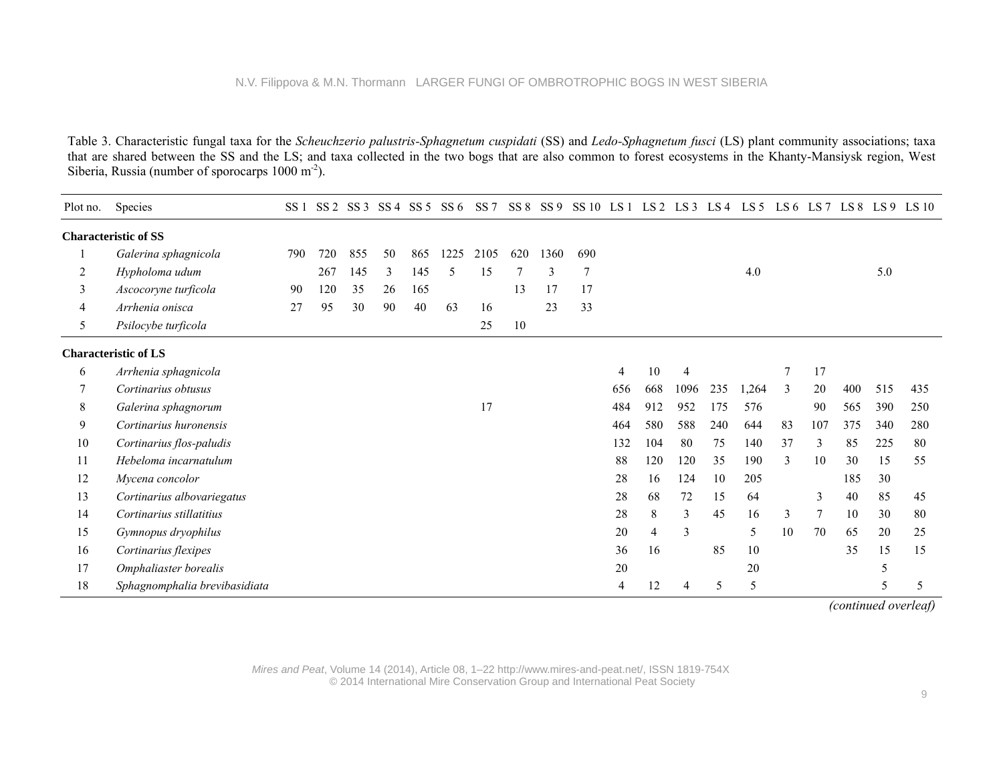Table 3. Characteristic fungal taxa for the *Scheuchzerio palustris-Sphagnetum cuspidati* (SS) and *Ledo-Sphagnetum fusci* (LS) plant community associations; taxa that are shared between the SS and the LS; and taxa collected in the two bogs that are also common to forest ecosystems in the Khanty-Mansiysk region, West Siberia, Russia (number of sporocarps 1000 m<sup>-2</sup>).

| Plot no. | Species                       | SS  | SS <sub>2</sub> | SS <sub>3</sub> | SS <sub>4</sub> | SS 5 | SS 6 | SS <sub>7</sub> |     | SS 8 SS 9 | SS 10 LS 1 |     | LS 2 | LS 3           | LS 4 | LS 5  |    |     |     |     | $LS6$ $LS7$ $LS8$ $LS9$ $LS10$ |
|----------|-------------------------------|-----|-----------------|-----------------|-----------------|------|------|-----------------|-----|-----------|------------|-----|------|----------------|------|-------|----|-----|-----|-----|--------------------------------|
|          | <b>Characteristic of SS</b>   |     |                 |                 |                 |      |      |                 |     |           |            |     |      |                |      |       |    |     |     |     |                                |
|          | Galerina sphagnicola          | 790 | 720             | 855             | 50              | 865  | 1225 | 2105            | 620 | 1360      | 690        |     |      |                |      |       |    |     |     |     |                                |
| 2        | Hypholoma udum                |     | 267             | 145             | 3               | 145  | 5    | 15              |     | 3         | 7          |     |      |                |      | 4.0   |    |     |     | 5.0 |                                |
| 3        | Ascocoryne turficola          | 90  | 120             | 35              | 26              | 165  |      |                 | 13  | 17        | 17         |     |      |                |      |       |    |     |     |     |                                |
| 4        | Arrhenia onisca               | 27  | 95              | 30              | 90              | 40   | 63   | 16              |     | 23        | 33         |     |      |                |      |       |    |     |     |     |                                |
| 5        | Psilocybe turficola           |     |                 |                 |                 |      |      | 25              | 10  |           |            |     |      |                |      |       |    |     |     |     |                                |
|          | <b>Characteristic of LS</b>   |     |                 |                 |                 |      |      |                 |     |           |            |     |      |                |      |       |    |     |     |     |                                |
| 6        | Arrhenia sphagnicola          |     |                 |                 |                 |      |      |                 |     |           |            | 4   | 10   | $\overline{4}$ |      |       |    | 17  |     |     |                                |
|          | Cortinarius obtusus           |     |                 |                 |                 |      |      |                 |     |           |            | 656 | 668  | 1096           | 235  | 1,264 | 3  | 20  | 400 | 515 | 435                            |
| 8        | Galerina sphagnorum           |     |                 |                 |                 |      |      | 17              |     |           |            | 484 | 912  | 952            | 175  | 576   |    | 90  | 565 | 390 | 250                            |
| 9        | Cortinarius huronensis        |     |                 |                 |                 |      |      |                 |     |           |            | 464 | 580  | 588            | 240  | 644   | 83 | 107 | 375 | 340 | 280                            |
| 10       | Cortinarius flos-paludis      |     |                 |                 |                 |      |      |                 |     |           |            | 132 | 104  | 80             | 75   | 140   | 37 | 3   | 85  | 225 | 80                             |
| 11       | Hebeloma incarnatulum         |     |                 |                 |                 |      |      |                 |     |           |            | 88  | 120  | 120            | 35   | 190   | 3  | 10  | 30  | 15  | 55                             |
| 12       | Mycena concolor               |     |                 |                 |                 |      |      |                 |     |           |            | 28  | 16   | 124            | 10   | 205   |    |     | 185 | 30  |                                |
| 13       | Cortinarius albovariegatus    |     |                 |                 |                 |      |      |                 |     |           |            | 28  | 68   | 72             | 15   | 64    |    | 3   | 40  | 85  | 45                             |
| 14       | Cortinarius stillatitius      |     |                 |                 |                 |      |      |                 |     |           |            | 28  | 8    | 3              | 45   | 16    | 3  |     | 10  | 30  | 80                             |
| 15       | Gymnopus dryophilus           |     |                 |                 |                 |      |      |                 |     |           |            | 20  | 4    | 3              |      | 5     | 10 | 70  | 65  | 20  | 25                             |
| 16       | Cortinarius flexipes          |     |                 |                 |                 |      |      |                 |     |           |            | 36  | 16   |                | 85   | 10    |    |     | 35  | 15  | 15                             |
| 17       | Omphaliaster borealis         |     |                 |                 |                 |      |      |                 |     |           |            | 20  |      |                |      | 20    |    |     |     | 5   |                                |
| 18       | Sphagnomphalia brevibasidiata |     |                 |                 |                 |      |      |                 |     |           |            | 4   | 12   | 4              | 5    | 5     |    |     |     | 5   | 5                              |

*(continued overleaf)*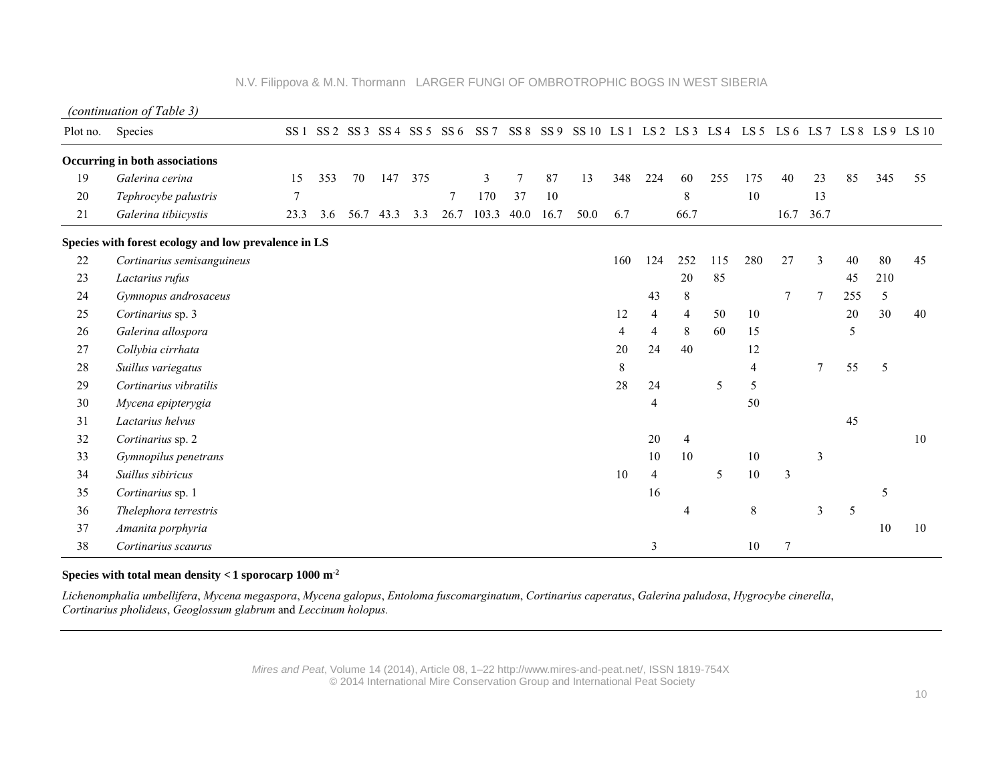|  | N.V. Filippova & M.N. Thormann LARGER FUNGI OF OMBROTROPHIC BOGS IN WEST SIBERIA |  |  |  |
|--|----------------------------------------------------------------------------------|--|--|--|
|--|----------------------------------------------------------------------------------|--|--|--|

*(continuation of Table 3)* 

| Plot no. | Species                                              | SS <sub>1</sub> |     |      |      |     | SS 2 SS 3 SS 4 SS 5 SS 6 | SS <sub>7</sub> |      |      |      |                |     |                |     |       |                |                |     |     | SS 8 SS 9 SS 10 LS 1 LS 2 LS 3 LS 4 LS 5 LS 6 LS 7 LS 8 LS 9 LS 10 |
|----------|------------------------------------------------------|-----------------|-----|------|------|-----|--------------------------|-----------------|------|------|------|----------------|-----|----------------|-----|-------|----------------|----------------|-----|-----|--------------------------------------------------------------------|
|          | Occurring in both associations                       |                 |     |      |      |     |                          |                 |      |      |      |                |     |                |     |       |                |                |     |     |                                                                    |
| 19       | Galerina cerina                                      | 15              | 353 | 70   | 147  | 375 |                          | 3               | 7    | 87   | 13   | 348            | 224 | 60             | 255 | 175   | 40             | 23             | 85  | 345 | 55                                                                 |
| 20       | Tephrocybe palustris                                 | $\overline{7}$  |     |      |      |     | 7                        | 170             | 37   | 10   |      |                |     | 8              |     | 10    |                | 13             |     |     |                                                                    |
| 21       | Galerina tibiicystis                                 | 23.3            | 3.6 | 56.7 | 43.3 | 3.3 | 26.7                     | 103.3           | 40.0 | 16.7 | 50.0 | 6.7            |     | 66.7           |     |       | 16.7           | 36.7           |     |     |                                                                    |
|          | Species with forest ecology and low prevalence in LS |                 |     |      |      |     |                          |                 |      |      |      |                |     |                |     |       |                |                |     |     |                                                                    |
| 22       | Cortinarius semisanguineus                           |                 |     |      |      |     |                          |                 |      |      |      | 160            | 124 | 252            | 115 | 280   | 27             | 3              | 40  | 80  | 45                                                                 |
| 23       | Lactarius rufus                                      |                 |     |      |      |     |                          |                 |      |      |      |                |     | 20             | 85  |       |                |                | 45  | 210 |                                                                    |
| 24       | Gymnopus androsaceus                                 |                 |     |      |      |     |                          |                 |      |      |      |                | 43  | 8              |     |       | $\overline{7}$ | 7              | 255 | 5   |                                                                    |
| 25       | Cortinarius sp. 3                                    |                 |     |      |      |     |                          |                 |      |      |      | 12             | 4   | $\overline{4}$ | 50  | 10    |                |                | 20  | 30  | 40                                                                 |
| 26       | Galerina allospora                                   |                 |     |      |      |     |                          |                 |      |      |      | $\overline{4}$ | 4   | 8              | 60  | 15    |                |                | 5   |     |                                                                    |
| 27       | Collybia cirrhata                                    |                 |     |      |      |     |                          |                 |      |      |      | 20             | 24  | 40             |     | 12    |                |                |     |     |                                                                    |
| 28       | Suillus variegatus                                   |                 |     |      |      |     |                          |                 |      |      |      | 8              |     |                |     | 4     |                | $\overline{7}$ | 55  | 5   |                                                                    |
| 29       | Cortinarius vibratilis                               |                 |     |      |      |     |                          |                 |      |      |      | 28             | 24  |                | 5   | 5     |                |                |     |     |                                                                    |
| 30       | Mycena epipterygia                                   |                 |     |      |      |     |                          |                 |      |      |      |                | 4   |                |     | 50    |                |                |     |     |                                                                    |
| 31       | Lactarius helvus                                     |                 |     |      |      |     |                          |                 |      |      |      |                |     |                |     |       |                |                | 45  |     |                                                                    |
| 32       | Cortinarius sp. 2                                    |                 |     |      |      |     |                          |                 |      |      |      |                | 20  | 4              |     |       |                |                |     |     | 10                                                                 |
| 33       | Gymnopilus penetrans                                 |                 |     |      |      |     |                          |                 |      |      |      |                | 10  | 10             |     | 10    |                | $\mathfrak{Z}$ |     |     |                                                                    |
| 34       | Suillus sibiricus                                    |                 |     |      |      |     |                          |                 |      |      |      | 10             | 4   |                | 5   | 10    | $\mathbf{3}$   |                |     |     |                                                                    |
| 35       | Cortinarius sp. 1                                    |                 |     |      |      |     |                          |                 |      |      |      |                | 16  |                |     |       |                |                |     | 5   |                                                                    |
| 36       | Thelephora terrestris                                |                 |     |      |      |     |                          |                 |      |      |      |                |     | 4              |     | $8\,$ |                | $\mathfrak{Z}$ | 5   |     |                                                                    |
| 37       | Amanita porphyria                                    |                 |     |      |      |     |                          |                 |      |      |      |                |     |                |     |       |                |                |     | 10  | 10                                                                 |
| 38       | Cortinarius scaurus                                  |                 |     |      |      |     |                          |                 |      |      |      |                | 3   |                |     | 10    | 7              |                |     |     |                                                                    |

# **Species with total mean density < 1 sporocarp 1000 m-<sup>2</sup>**

*Lichenomphalia umbellifera*, *Mycena megaspora*, *Mycena galopus*, *Entoloma fuscomarginatum*, *Cortinarius caperatus*, *Galerina paludosa*, *Hygrocybe cinerella*, *Cortinarius pholideus*, *Geoglossum glabrum* and *Leccinum holopus.*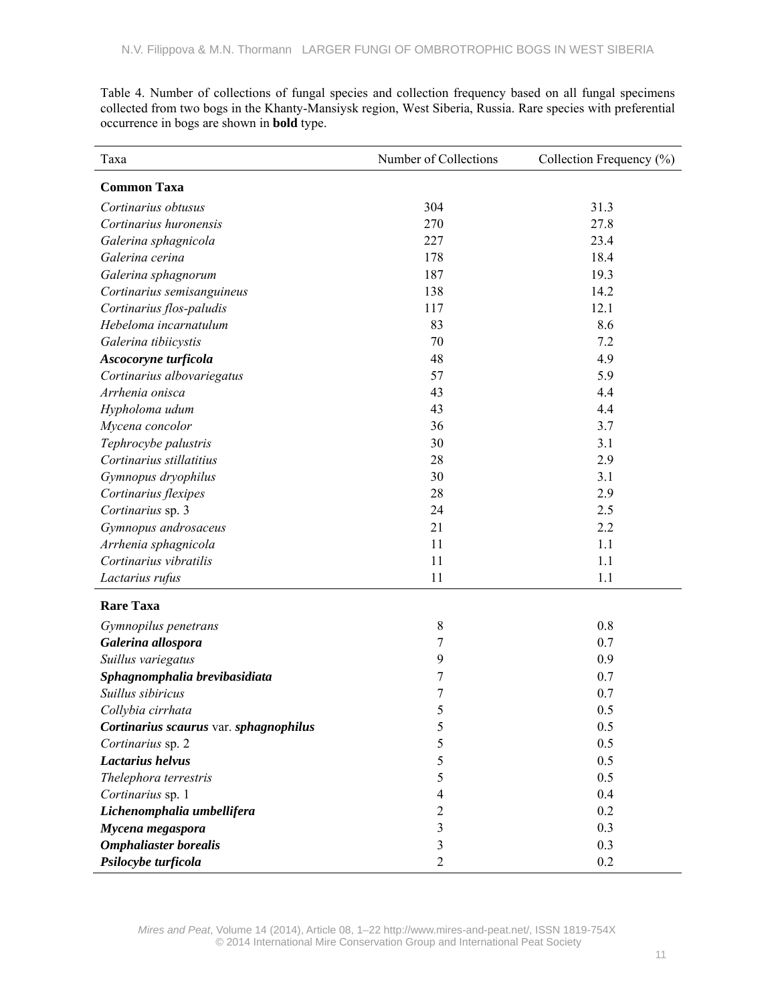Table 4. Number of collections of fungal species and collection frequency based on all fungal specimens collected from two bogs in the Khanty-Mansiysk region, West Siberia, Russia. Rare species with preferential occurrence in bogs are shown in **bold** type.

| Taxa                                   | Number of Collections | Collection Frequency (%) |
|----------------------------------------|-----------------------|--------------------------|
| <b>Common Taxa</b>                     |                       |                          |
| Cortinarius obtusus                    | 304                   | 31.3                     |
| Cortinarius huronensis                 | 270                   | 27.8                     |
| Galerina sphagnicola                   | 227                   | 23.4                     |
| Galerina cerina                        | 178                   | 18.4                     |
| Galerina sphagnorum                    | 187                   | 19.3                     |
| Cortinarius semisanguineus             | 138                   | 14.2                     |
| Cortinarius flos-paludis               | 117                   | 12.1                     |
| Hebeloma incarnatulum                  | 83                    | 8.6                      |
| Galerina tibiicystis                   | 70                    | 7.2                      |
| Ascocoryne turficola                   | 48                    | 4.9                      |
| Cortinarius albovariegatus             | 57                    | 5.9                      |
| Arrhenia onisca                        | 43                    | 4.4                      |
| Hypholoma udum                         | 43                    | 4.4                      |
| Mycena concolor                        | 36                    | 3.7                      |
| Tephrocybe palustris                   | 30                    | 3.1                      |
| Cortinarius stillatitius               | 28                    | 2.9                      |
| Gymnopus dryophilus                    | 30                    | 3.1                      |
| Cortinarius flexipes                   | 28                    | 2.9                      |
| Cortinarius sp. 3                      | 24                    | 2.5                      |
| Gymnopus androsaceus                   | 21                    | 2.2                      |
| Arrhenia sphagnicola                   | 11                    | 1.1                      |
| Cortinarius vibratilis                 | 11                    | 1.1                      |
| Lactarius rufus                        | 11                    | 1.1                      |
| <b>Rare Taxa</b>                       |                       |                          |
| Gymnopilus penetrans                   | 8                     | 0.8                      |
| Galerina allospora                     | 7                     | 0.7                      |
| Suillus variegatus                     | 9                     | 0.9                      |
| Sphagnomphalia brevibasidiata          | 7                     | 0.7                      |
| Suillus sibiricus                      | 7                     | 0.7                      |
| Collybia cirrhata                      | 5                     | $0.5\,$                  |
| Cortinarius scaurus var. sphagnophilus | 5                     | 0.5                      |
| Cortinarius sp. 2                      | 5                     | 0.5                      |
| Lactarius helvus                       | 5                     | 0.5                      |
| Thelephora terrestris                  | 5                     | 0.5                      |
| Cortinarius sp. 1                      | $\overline{4}$        | 0.4                      |
| Lichenomphalia umbellifera             | $\overline{c}$        | 0.2                      |
| Mycena megaspora                       | 3                     | 0.3                      |
| <b>Omphaliaster borealis</b>           | 3                     | 0.3                      |
| Psilocybe turficola                    | $\mathfrak{2}$        | 0.2                      |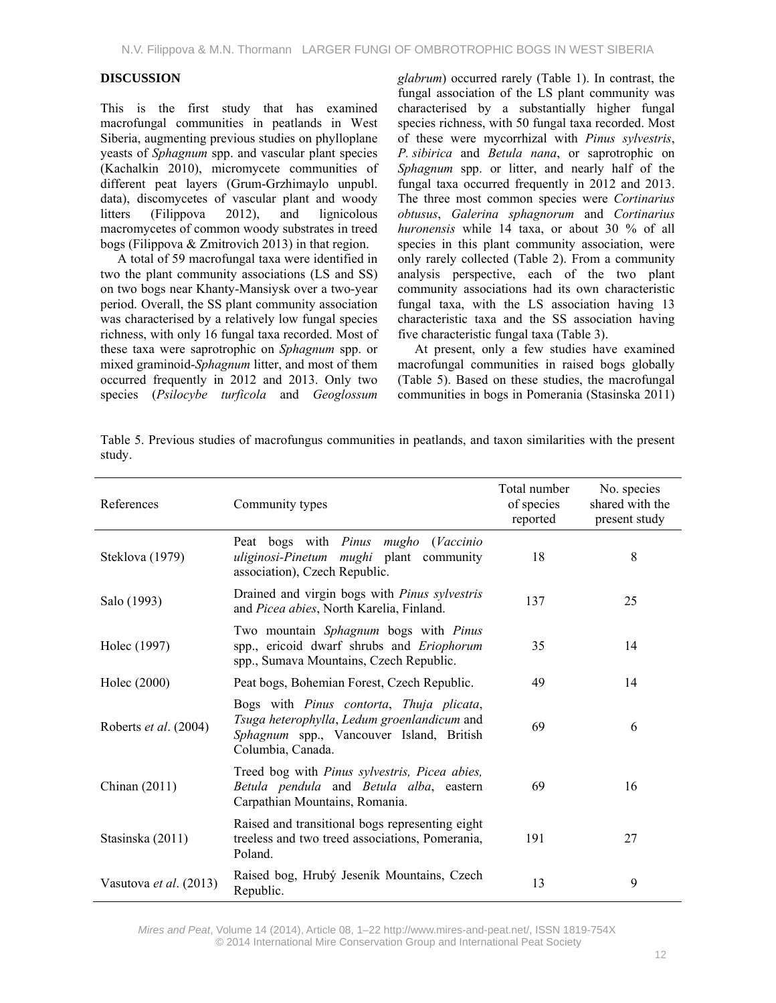# **DISCUSSION**

This is the first study that has examined macrofungal communities in peatlands in West Siberia, augmenting previous studies on phylloplane yeasts of *Sphagnum* spp. and vascular plant species (Kachalkin 2010), micromycete communities of different peat layers (Grum-Grzhimaylo unpubl. data), discomycetes of vascular plant and woody litters (Filippova 2012), and lignicolous macromycetes of common woody substrates in treed bogs (Filippova & Zmitrovich 2013) in that region.

A total of 59 macrofungal taxa were identified in two the plant community associations (LS and SS) on two bogs near Khanty-Mansiysk over a two-year period. Overall, the SS plant community association was characterised by a relatively low fungal species richness, with only 16 fungal taxa recorded. Most of these taxa were saprotrophic on *Sphagnum* spp. or mixed graminoid-*Sphagnum* litter, and most of them occurred frequently in 2012 and 2013. Only two species (*Psilocybe turficola* and *Geoglossum*  *glabrum*) occurred rarely (Table 1). In contrast, the fungal association of the LS plant community was characterised by a substantially higher fungal species richness, with 50 fungal taxa recorded. Most of these were mycorrhizal with *Pinus sylvestris*, *P. sibirica* and *Betula nana*, or saprotrophic on *Sphagnum* spp. or litter, and nearly half of the fungal taxa occurred frequently in 2012 and 2013. The three most common species were *Cortinarius obtusus*, *Galerina sphagnorum* and *Cortinarius huronensis* while 14 taxa, or about 30 % of all species in this plant community association, were only rarely collected (Table 2). From a community analysis perspective, each of the two plant community associations had its own characteristic fungal taxa, with the LS association having 13 characteristic taxa and the SS association having five characteristic fungal taxa (Table 3).

At present, only a few studies have examined macrofungal communities in raised bogs globally (Table 5). Based on these studies, the macrofungal communities in bogs in Pomerania (Stasinska 2011)

| Table 5. Previous studies of macrofungus communities in peatlands, and taxon similarities with the present |  |  |  |  |  |  |
|------------------------------------------------------------------------------------------------------------|--|--|--|--|--|--|
| study.                                                                                                     |  |  |  |  |  |  |

| References             | Community types                                                                                                                                          | Total number<br>of species<br>reported | No. species<br>shared with the<br>present study |
|------------------------|----------------------------------------------------------------------------------------------------------------------------------------------------------|----------------------------------------|-------------------------------------------------|
| Steklova (1979)        | Peat bogs with Pinus mugho (Vaccinio<br>uliginosi-Pinetum mughi plant community<br>association), Czech Republic.                                         | 18                                     | 8                                               |
| Salo (1993)            | Drained and virgin bogs with <i>Pinus sylvestris</i><br>and Picea abies, North Karelia, Finland.                                                         | 137                                    | 25                                              |
| Holec (1997)           | Two mountain Sphagnum bogs with Pinus<br>spp., ericoid dwarf shrubs and Eriophorum<br>spp., Sumava Mountains, Czech Republic.                            | 35                                     | 14                                              |
| Holec (2000)           | Peat bogs, Bohemian Forest, Czech Republic.                                                                                                              | 49                                     | 14                                              |
| Roberts et al. (2004)  | Bogs with Pinus contorta, Thuja plicata,<br>Tsuga heterophylla, Ledum groenlandicum and<br>Sphagnum spp., Vancouver Island, British<br>Columbia, Canada. | 69                                     | 6                                               |
| Chinan $(2011)$        | Treed bog with Pinus sylvestris, Picea abies,<br>Betula pendula and Betula alba, eastern<br>Carpathian Mountains, Romania.                               | 69                                     | 16                                              |
| Stasinska (2011)       | Raised and transitional bogs representing eight<br>treeless and two treed associations, Pomerania,<br>Poland.                                            | 191                                    | 27                                              |
| Vasutova et al. (2013) | Raised bog, Hrubý Jeseník Mountains, Czech<br>Republic.                                                                                                  | 13                                     | 9                                               |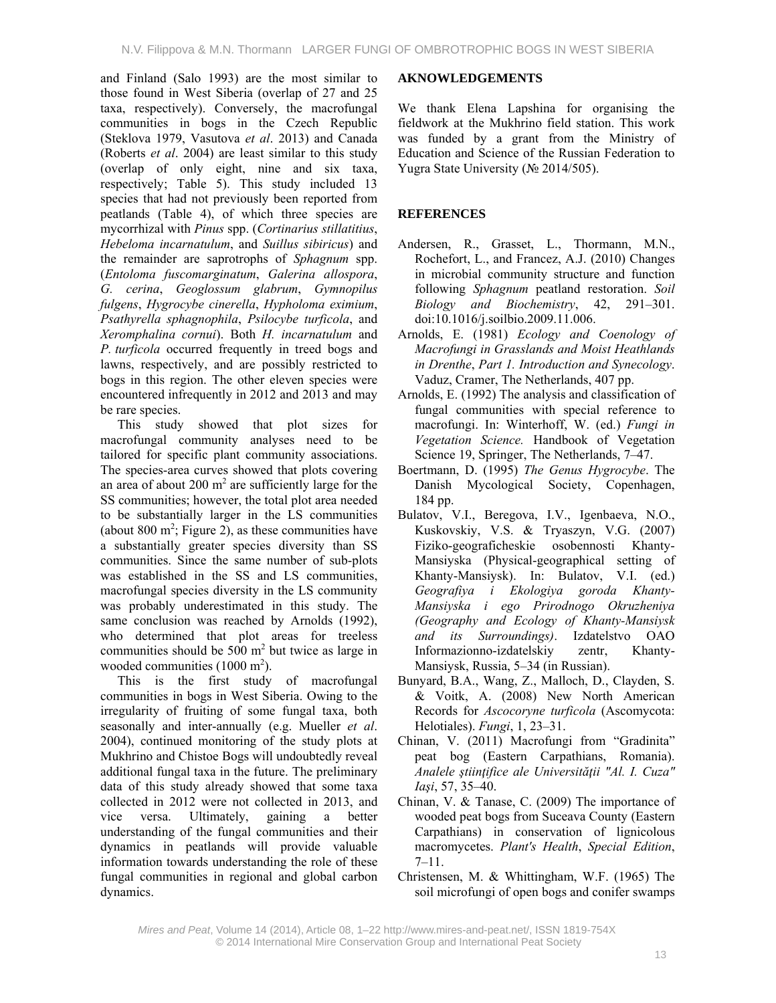and Finland (Salo 1993) are the most similar to those found in West Siberia (overlap of 27 and 25 taxa, respectively). Conversely, the macrofungal communities in bogs in the Czech Republic (Steklova 1979, Vasutova *et al*. 2013) and Canada (Roberts *et al*. 2004) are least similar to this study (overlap of only eight, nine and six taxa, respectively; Table 5). This study included 13 species that had not previously been reported from peatlands (Table 4), of which three species are mycorrhizal with *Pinus* spp. (*Cortinarius stillatitius*, *Hebeloma incarnatulum*, and *Suillus sibiricus*) and the remainder are saprotrophs of *Sphagnum* spp. (*Entoloma fuscomarginatum*, *Galerina allospora*, *G. cerina*, *Geoglossum glabrum*, *Gymnopilus fulgens*, *Hygrocybe cinerella*, *Hypholoma eximium*, *Psathyrella sphagnophila*, *Psilocybe turficola*, and *Xeromphalina cornui*). Both *H. incarnatulum* and *P. turficola* occurred frequently in treed bogs and lawns, respectively, and are possibly restricted to bogs in this region. The other eleven species were encountered infrequently in 2012 and 2013 and may be rare species.

This study showed that plot sizes for macrofungal community analyses need to be tailored for specific plant community associations. The species-area curves showed that plots covering an area of about  $200 \text{ m}^2$  are sufficiently large for the SS communities; however, the total plot area needed to be substantially larger in the LS communities (about  $800 \text{ m}^2$ ; Figure 2), as these communities have a substantially greater species diversity than SS communities. Since the same number of sub-plots was established in the SS and LS communities, macrofungal species diversity in the LS community was probably underestimated in this study. The same conclusion was reached by Arnolds (1992), who determined that plot areas for treeless communities should be  $500 \text{ m}^2$  but twice as large in wooded communities  $(1000 \text{ m}^2)$ .

This is the first study of macrofungal communities in bogs in West Siberia. Owing to the irregularity of fruiting of some fungal taxa, both seasonally and inter-annually (e.g. Mueller *et al*. 2004), continued monitoring of the study plots at Mukhrino and Chistoe Bogs will undoubtedly reveal additional fungal taxa in the future. The preliminary data of this study already showed that some taxa collected in 2012 were not collected in 2013, and vice versa. Ultimately, gaining a better understanding of the fungal communities and their dynamics in peatlands will provide valuable information towards understanding the role of these fungal communities in regional and global carbon dynamics.

# **AKNOWLEDGEMENTS**

We thank Elena Lapshina for organising the fieldwork at the Mukhrino field station. This work was funded by a grant from the Ministry of Education and Science of the Russian Federation to Yugra State University (№ 2014/505).

# **REFERENCES**

- Andersen, R., Grasset, L., Thormann, M.N., Rochefort, L., and Francez, A.J. (2010) Changes in microbial community structure and function following *Sphagnum* peatland restoration. *Soil Biology and Biochemistry*, 42, 291–301. doi:10.1016/j.soilbio.2009.11.006.
- Arnolds, E. (1981) *Ecology and Сoenology of Macrofungi in Grasslands and Moist Heathlands in Drenthe*, *Part 1. Introduction and Synecology*. Vaduz, Cramer, The Netherlands, 407 pp.
- Arnolds, E. (1992) The analysis and classification of fungal communities with special reference to macrofungi. In: Winterhoff, W. (ed.) *Fungi in Vegetation Science.* Handbook of Vegetation Science 19, Springer, The Netherlands, 7–47.
- Boertmann, D. (1995) *The Genus Hygrocybe*. The Danish Mycological Society, Copenhagen, 184 pp.
- Bulatov, V.I., Beregova, I.V., Igenbaeva, N.O., Kuskovskiy, V.S. & Tryaszyn, V.G. (2007) Fiziko-geograficheskie osobennosti Khanty-Mansiyska (Physical-geographical setting of Khanty-Mansiysk). In: Bulatov, V.I. (ed.) *Geografiya i Ekologiya goroda Khanty-Mansiyska i ego Prirodnogo Okruzheniya (Geography and Ecology of Khanty-Mansiysk and its Surroundings)*. Izdatelstvo OAO Informazionno-izdatelskiy zentr, Khanty-Mansiysk, Russia, 5–34 (in Russian).
- Bunyard, B.A., Wang, Z., Malloch, D., Clayden, S. & Voitk, A. (2008) New North American Records for *Ascocoryne turficola* (Ascomycota: Helotiales). *Fungi*, 1, 23–31.
- Chinan, V. (2011) Macrofungi from "Gradinita" peat bog (Eastern Carpathians, Romania). *Analele ştiinţifice ale Universităţii "Al. I. Cuza" Iaşi*, 57, 35–40.
- Chinan, V. & Tanase, C. (2009) The importance of wooded peat bogs from Suceava County (Eastern Carpathians) in conservation of lignicolous macromycetes. *Plant's Health*, *Special Edition*, 7–11.
- Christensen, M. & Whittingham, W.F. (1965) The soil microfungi of open bogs and conifer swamps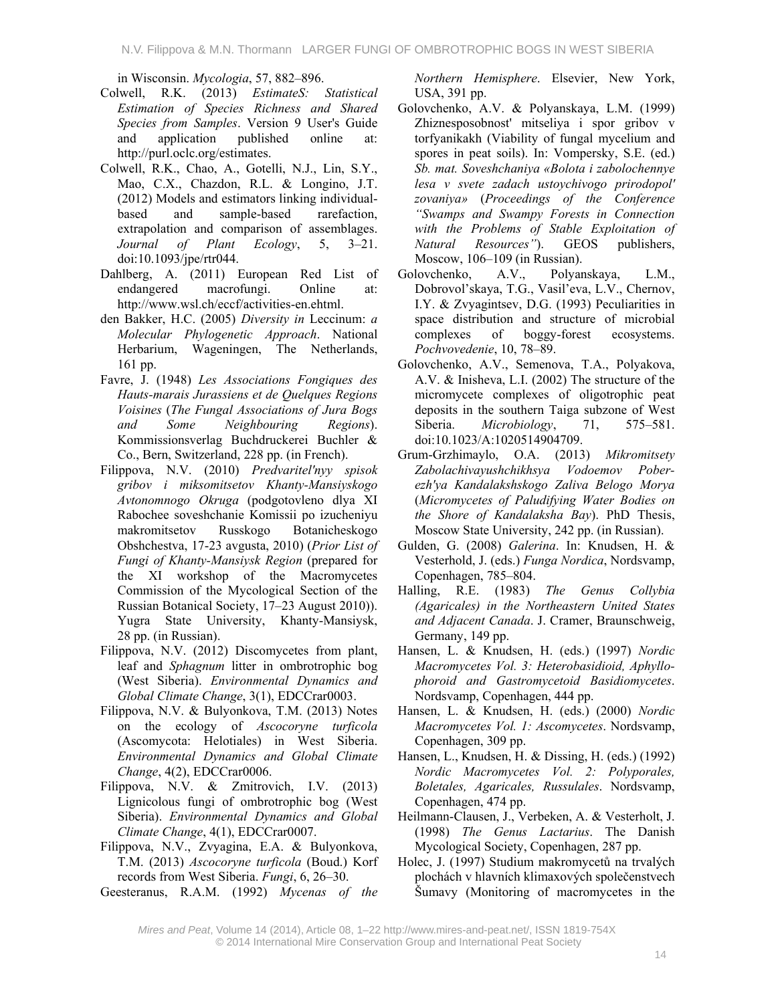in Wisconsin. *Mycologia*, 57, 882–896.

- Colwell, R.K. (2013) *EstimateS: Statistical Estimation of Species Richness and Shared Species from Samples*. Version 9 User's Guide and application published online at: http://purl.oclc.org/estimates.
- Colwell, R.K., Chao, A., Gotelli, N.J., Lin, S.Y., Mao, C.X., Chazdon, R.L. & Longino, J.T. (2012) Models and estimators linking individualbased and sample-based rarefaction, extrapolation and comparison of assemblages. *Journal of Plant Ecology*, 5, 3–21. doi:10.1093/jpe/rtr044.
- Dahlberg, A. (2011) European Red List of endangered macrofungi. Online at: http://www.wsl.ch/eccf/activities-en.ehtml.
- den Bakker, H.C. (2005) *Diversity in* Leccinum: *a Molecular Phylogenetic Approach*. National Herbarium, Wageningen, The Netherlands, 161 pp.
- Favre, J. (1948) *Les Associations Fongiques des Hauts-marais Jurassiens et de Quelques Regions Voisines* (*The Fungal Associations of Jura Bogs and Some Neighbouring Regions*). Kommissionsverlag Buchdruckerei Buchler & Co., Bern, Switzerland, 228 pp. (in French).
- Filippova, N.V. (2010) *Predvaritel'nyy spisok gribov i miksomitsetov Khanty-Mansiyskogo Avtonomnogo Okruga* (podgotovleno dlya XI Rabochee soveshchanie Komissii po izucheniyu makromitsetov Russkogo Botanicheskogo Obshchestva, 17-23 avgusta, 2010) (*Prior List of Fungi of Khanty-Mansiysk Region* (prepared for the XI workshop of the Macromycetes Commission of the Mycological Section of the Russian Botanical Society, 17–23 August 2010)). Yugra State University, Khanty-Mansiysk, 28 pp. (in Russian).
- Filippova, N.V. (2012) Discomycetes from plant, leaf and *Sphagnum* litter in ombrotrophic bog (West Siberia). *Environmental Dynamics and Global Climate Change*, 3(1), EDCCrar0003.
- Filippova, N.V. & Bulyonkova, T.M. (2013) Notes on the ecology of *Ascocoryne turficola* (Ascomycota: Helotiales) in West Siberia. *Environmental Dynamics and Global Climate Change*, 4(2), EDCCrar0006.
- Filippova, N.V. & Zmitrovich, I.V. (2013) Lignicolous fungi of ombrotrophic bog (West Siberia). *Environmental Dynamics and Global Climate Change*, 4(1), EDCCrar0007.
- Filippova, N.V., Zvyagina, E.A. & Bulyonkova, T.M. (2013) *Ascocoryne turficola* (Boud.) Korf records from West Siberia. *Fungi*, 6, 26–30.
- Geesteranus, R.A.M. (1992) *Mycenas of the*

*Northern Hemisphere*. Elsevier, New York, USA, 391 pp.

- Golovchenko, A.V. & Polyanskaya, L.M. (1999) Zhiznesposobnost' mitseliya i spor gribov v torfyanikakh (Viability of fungal mycelium and spores in peat soils). In: Vompersky, S.E. (ed.) *Sb. mat. Soveshchaniya «Bolota i zabolochennye lesa v svete zadach ustoychivogo prirodopol' zovaniya»* (*Proceedings of the Conference "Swamps and Swampy Forests in Connection with the Problems of Stable Exploitation of Natural Resources"*). GEOS publishers, Moscow, 106–109 (in Russian).
- Golovchenko, A.V., Polyanskaya, L.M., Dobrovol'skaya, T.G., Vasil'eva, L.V., Chernov, I.Y. & Zvyagintsev, D.G. (1993) Peculiarities in space distribution and structure of microbial complexes of boggy-forest ecosystems. *Pochvovedenie*, 10, 78–89.
- Golovchenko, A.V., Semenova, T.A., Polyakova, A.V. & Inisheva, L.I. (2002) The structure of the micromycete complexes of oligotrophic peat deposits in the southern Taiga subzone of West Siberia. *Microbiology*, 71, 575–581. doi:10.1023/A:1020514904709.
- Grum-Grzhimaylo, O.A. (2013) *Mikromitsety Zabolachivayushchikhsya Vodoemov Poberezh'ya Kandalakshskogo Zaliva Belogo Morya* (*Micromycetes of Paludifying Water Bodies on the Shore of Kandalaksha Bay*). PhD Thesis, Moscow State University, 242 pp. (in Russian).
- Gulden, G. (2008) *Galerina*. In: Knudsen, H. & Vesterhold, J. (eds.) *Funga Nordica*, Nordsvamp, Copenhagen, 785–804.
- Halling, R.E. (1983) *The Genus Collybia (Agaricales) in the Northeastern United States and Adjacent Canada*. J. Cramer, Braunschweig, Germany, 149 pp.
- Hansen, L. & Knudsen, H. (eds.) (1997) *Nordic Macromycetes Vol. 3: Heterobasidioid, Aphyllophoroid and Gastromycetoid Basidiomycetes*. Nordsvamp, Copenhagen, 444 pp.
- Hansen, L. & Knudsen, H. (eds.) (2000) *Nordic Macromycetes Vol. 1: Ascomycetes*. Nordsvamp, Copenhagen, 309 pp.
- Hansen, L., Knudsen, H. & Dissing, H. (eds.) (1992) *Nordic Macromycetes Vol. 2: Polyporales, Boletales, Agaricales, Russulales*. Nordsvamp, Copenhagen, 474 pp.
- Heilmann-Clausen, J., Verbeken, A. & Vesterholt, J. (1998) *The Genus Lactarius*. The Danish Mycological Society, Copenhagen, 287 pp.
- Holec, J. (1997) Studium makromycetů na trvalých plochách v hlavních klimaxových společenstvech Šumavy (Monitoring of macromycetes in the

*Mires and Peat*, Volume 14 (2014), Article 08, 1–22 http://www.mires-and-peat.net/, ISSN 1819-754X © 2014 International Mire Conservation Group and International Peat Society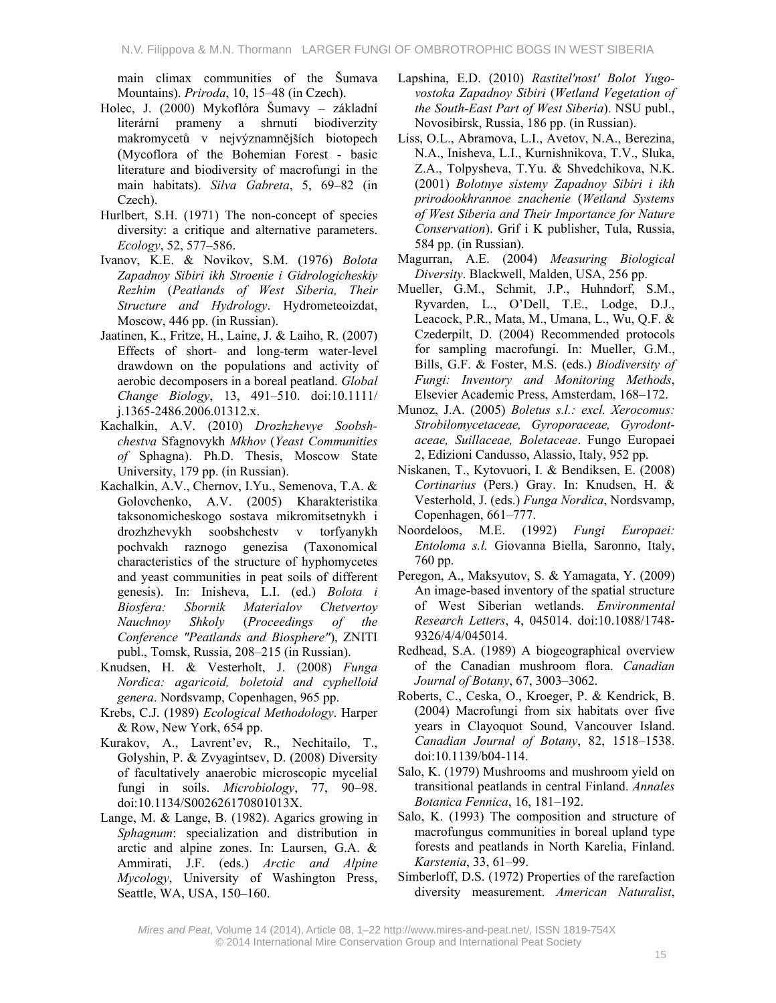main climax communities of the Šumava Mountains). *Priroda*, 10, 15–48 (in Czech).

- Holec, J. (2000) Mykoflóra Šumavy základní literární prameny a shrnutí biodiverzity makromycetů v nejvýznamnějších biotopech (Mycoflora of the Bohemian Forest - basic literature and biodiversity of macrofungi in the main habitats). *Silva Gabreta*, 5, 69–82 (in Czech).
- Hurlbert, S.H. (1971) The non-concept of species diversity: a critique and alternative parameters. *Ecology*, 52, 577–586.
- Ivanov, K.E. & Novikov, S.M. (1976) *Bolota Zapadnoy Sibiri ikh Stroenie i Gidrologicheskiy Rezhim* (*Peatlands of West Siberia, Their Structure and Hydrology*. Hydrometeoizdat, Moscow, 446 pp. (in Russian).
- Jaatinen, K., Fritze, H., Laine, J. & Laiho, R. (2007) Effects of short- and long-term water-level drawdown on the populations and activity of aerobic decomposers in a boreal peatland. *Global Change Biology*, 13, 491–510. doi:10.1111/ j.1365-2486.2006.01312.x.
- Kachalkin, A.V. (2010) *Drozhzhevye Soobshchestva* Sfagnovykh *Mkhov* (*Yeast Communities of* Sphagna). Ph.D. Thesis, Moscow State University, 179 pp. (in Russian).
- Kachalkin, A.V., Chernov, I.Yu., Semenova, T.A. & Golovchenko, A.V. (2005) Kharakteristika taksonomicheskogo sostava mikromitsetnykh i drozhzhevykh soobshchestv v torfyanykh pochvakh raznogo genezisa (Taxonomical characteristics of the structure of hyphomycetes and yeast communities in peat soils of different genesis). In: Inisheva, L.I. (ed.) *Bolota i Biosfera: Sbornik Materialov Chetvertoy Nauchnoy Shkoly* (*Proceedings of the Conference "Peatlands and Biosphere"*), ZNITI publ., Tomsk, Russia, 208–215 (in Russian).
- Knudsen, H. & Vesterholt, J. (2008) *Funga Nordica: agaricoid, boletoid and cyphelloid genera*. Nordsvamp, Copenhagen, 965 pp.
- Krebs, C.J. (1989) *Ecological Methodology*. Harper & Row, New York, 654 pp.
- Kurakov, A., Lavrent'ev, R., Nechitailo, T., Golyshin, P. & Zvyagintsev, D. (2008) Diversity of facultatively anaerobic microscopic mycelial fungi in soils. *Microbiology*, 77, 90–98. doi:10.1134/S002626170801013X.
- Lange, M. & Lange, B. (1982). Agarics growing in *Sphagnum*: specialization and distribution in arctic and alpine zones. In: Laursen, G.A. & Ammirati, J.F. (eds.) *Arctic and Alpine Mycology*, University of Washington Press, Seattle, WA, USA, 150–160.
- Lapshina, E.D. (2010) *Rastitel'nost' Bolot Yugovostoka Zapadnoy Sibiri* (*Wetland Vegetation of the South-East Part of West Siberia*). NSU publ., Novosibirsk, Russia, 186 pp. (in Russian).
- Liss, O.L., Abramova, L.I., Avetov, N.A., Berezina, N.A., Inisheva, L.I., Kurnishnikova, T.V., Sluka, Z.A., Tolpysheva, T.Yu. & Shvedchikova, N.K. (2001) *Bolotnye sistemy Zapadnoy Sibiri i ikh prirodookhrannoe znachenie* (*Wetland Systems of West Siberia and Their Importance for Nature Conservation*). Grif i K publisher, Tula, Russia, 584 pp. (in Russian).
- Magurran, A.E. (2004) *Measuring Biological Diversity*. Blackwell, Malden, USA, 256 pp.
- Mueller, G.M., Schmit, J.P., Huhndorf, S.M., Ryvarden, L., O'Dell, T.E., Lodge, D.J., Leacock, P.R., Mata, M., Umana, L., Wu, Q.F. & Czederpilt, D. (2004) Recommended protocols for sampling macrofungi. In: Mueller, G.M., Bills, G.F. & Foster, M.S. (eds.) *Biodiversity of Fungi: Inventory and Monitoring Methods*, Elsevier Academic Press, Amsterdam, 168–172.
- Munoz, J.A. (2005) *Boletus s.l.: excl. Xerocomus: Strobilomycetaceae, Gyroporaceae, Gyrodontaceae, Suillaceae, Boletaceae*. Fungo Europaei 2, Edizioni Candusso, Alassio, Italy, 952 pp.
- Niskanen, T., Kytovuori, I. & Bendiksen, E. (2008) *Cortinarius* (Pers.) Gray. In: Knudsen, H. & Vesterhold, J. (eds.) *Funga Nordica*, Nordsvamp, Copenhagen, 661–777.
- Noordeloos, M.E. (1992) *Fungi Europaei: Entoloma s.l.* Giovanna Biella, Saronno, Italy, 760 pp.
- Peregon, A., Maksyutov, S. & Yamagata, Y. (2009) An image-based inventory of the spatial structure of West Siberian wetlands. *Environmental Research Letters*, 4, 045014. doi:10.1088/1748- 9326/4/4/045014.
- Redhead, S.A. (1989) A biogeographical overview of the Canadian mushroom flora. *Canadian Journal of Botany*, 67, 3003–3062.
- Roberts, C., Ceska, O., Kroeger, P. & Kendrick, B. (2004) Macrofungi from six habitats over five years in Clayoquot Sound, Vancouver Island. *Canadian Journal of Botany*, 82, 1518–1538. doi:10.1139/b04-114.
- Salo, K. (1979) Mushrooms and mushroom yield on transitional peatlands in central Finland. *Annales Botanica Fennica*, 16, 181–192.
- Salo, K. (1993) The composition and structure of macrofungus communities in boreal upland type forests and peatlands in North Karelia, Finland. *Karstenia*, 33, 61–99.
- Simberloff, D.S. (1972) Properties of the rarefaction diversity measurement. *American Naturalist*,

*Mires and Peat*, Volume 14 (2014), Article 08, 1–22 http://www.mires-and-peat.net/, ISSN 1819-754X © 2014 International Mire Conservation Group and International Peat Society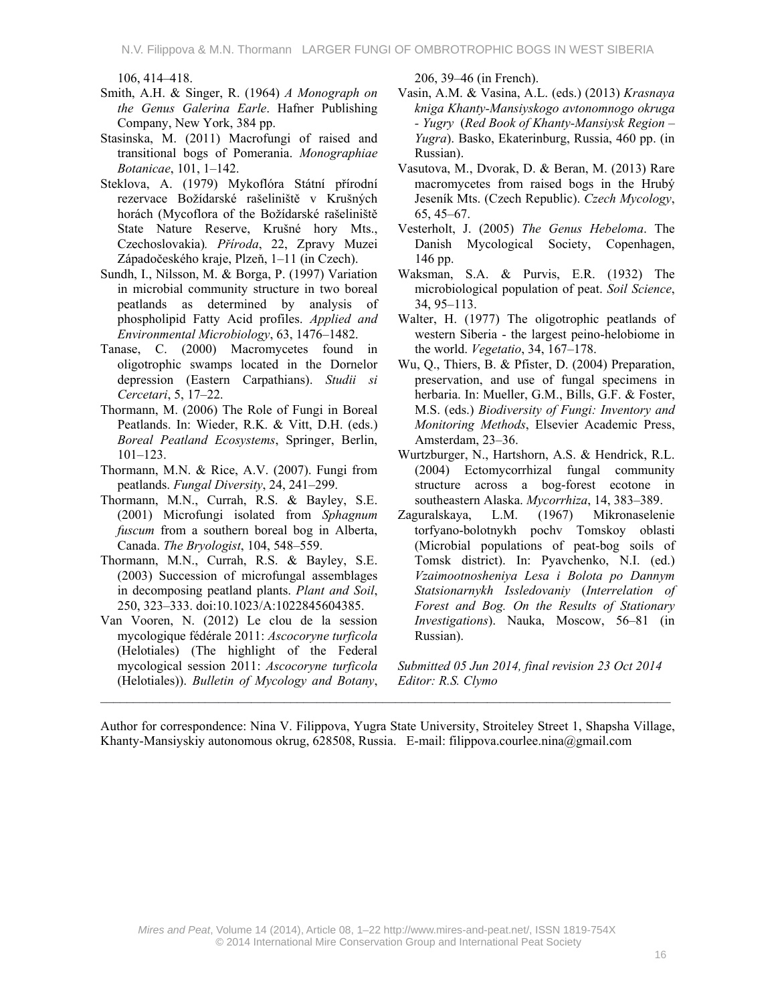106, 414–418.

- Smith, A.H. & Singer, R. (1964) *A Monograph on the Genus Galerina Earle*. Hafner Publishing Company, New York, 384 pp.
- Stasinska, M. (2011) Macrofungi of raised and transitional bogs of Pomerania. *Monographiae Botanicae*, 101, 1–142.
- Steklova, A. (1979) Mykoflóra Státní přírodní rezervace Božídarské rašeliniště v Krušných horách (Mycoflora of the Božídarské rašeliniště State Nature Reserve, Krušné hory Mts., Czechoslovakia)*. Příroda*, 22, Zpravy Muzei Západočeského kraje, Plzeň, 1–11 (in Czech).
- Sundh, I., Nilsson, M. & Borga, P. (1997) Variation in microbial community structure in two boreal peatlands as determined by analysis of phospholipid Fatty Acid profiles. *Applied and Environmental Microbiology*, 63, 1476–1482.
- Tanase, C. (2000) Macromycetes found in oligotrophic swamps located in the Dornelor depression (Eastern Carpathians). *Studii si Cercetari*, 5, 17–22.
- Thormann, M. (2006) The Role of Fungi in Boreal Peatlands. In: Wieder, R.K. & Vitt, D.H. (eds.) *Boreal Peatland Ecosystems*, Springer, Berlin, 101–123.
- Thormann, M.N. & Rice, A.V. (2007). Fungi from peatlands. *Fungal Diversity*, 24, 241–299.
- Thormann, M.N., Currah, R.S. & Bayley, S.E. (2001) Microfungi isolated from *Sphagnum fuscum* from a southern boreal bog in Alberta, Canada. *The Bryologist*, 104, 548–559.
- Thormann, M.N., Currah, R.S. & Bayley, S.E. (2003) Succession of microfungal assemblages in decomposing peatland plants. *Plant and Soil*, 250, 323–333. doi:10.1023/A:1022845604385.
- Van Vooren, N. (2012) Le clou de la session mycologique fédérale 2011: *Ascocoryne turficola* (Helotiales) (The highlight of the Federal mycological session 2011: *Ascocoryne turficola* (Helotiales)). *Bulletin of Mycology and Botany*,

206, 39–46 (in French).

- Vasin, A.M. & Vasina, A.L. (eds.) (2013) *Krasnaya kniga Khanty-Mansiyskogo avtonomnogo okruga - Yugry*(*Red Book of Khanty-Mansiysk Region – Yugra*). Basko, Ekaterinburg, Russia, 460 pp. (in Russian).
- Vasutova, M., Dvorak, D. & Beran, M. (2013) Rare macromycetes from raised bogs in the Hrubý Jeseník Mts. (Czech Republic). *Czech Mycology*, 65, 45–67.
- Vesterholt, J. (2005) *The Genus Hebeloma*. The Danish Mycological Society, Copenhagen, 146 pp.
- Waksman, S.A. & Purvis, E.R. (1932) The microbiological population of peat. *Soil Science*, 34, 95–113.
- Walter, H. (1977) The oligotrophic peatlands of western Siberia - the largest peino-helobiome in the world. *Vegetatio*, 34, 167–178.
- Wu, Q., Thiers, B. & Pfister, D. (2004) Preparation, preservation, and use of fungal specimens in herbaria. In: Mueller, G.M., Bills, G.F. & Foster, M.S. (eds.) *Biodiversity of Fungi: Inventory and Monitoring Methods*, Elsevier Academic Press, Amsterdam, 23–36.
- Wurtzburger, N., Hartshorn, A.S. & Hendrick, R.L. (2004) Ectomycorrhizal fungal community structure across a bog-forest ecotone in southeastern Alaska. *Mycorrhiza*, 14, 383–389.
- Zaguralskaya, L.M. (1967) Mikronaselenie torfyano-bolotnykh pochv Tomskoy oblasti (Microbial populations of peat-bog soils of Tomsk district). In: Pyavchenko, N.I. (ed.) *Vzaimootnosheniya Lesa i Bolota po Dannym Statsionarnykh Issledovaniy* (*Interrelation of Forest and Bog. On the Results of Stationary Investigations*). Nauka, Moscow, 56–81 (in Russian).

*Submitted 05 Jun 2014, final revision 23 Oct 2014 Editor: R.S. Clymo* 

Author for correspondence: Nina V. Filippova, Yugra State University, Stroiteley Street 1, Shapsha Village, Khanty-Mansiyskiy autonomous okrug, 628508, Russia. E-mail: filippova.courlee.nina@gmail.com

 $\mathcal{L}_\mathcal{L} = \{ \mathcal{L}_\mathcal{L} = \{ \mathcal{L}_\mathcal{L} = \{ \mathcal{L}_\mathcal{L} = \{ \mathcal{L}_\mathcal{L} = \{ \mathcal{L}_\mathcal{L} = \{ \mathcal{L}_\mathcal{L} = \{ \mathcal{L}_\mathcal{L} = \{ \mathcal{L}_\mathcal{L} = \{ \mathcal{L}_\mathcal{L} = \{ \mathcal{L}_\mathcal{L} = \{ \mathcal{L}_\mathcal{L} = \{ \mathcal{L}_\mathcal{L} = \{ \mathcal{L}_\mathcal{L} = \{ \mathcal{L}_\mathcal{$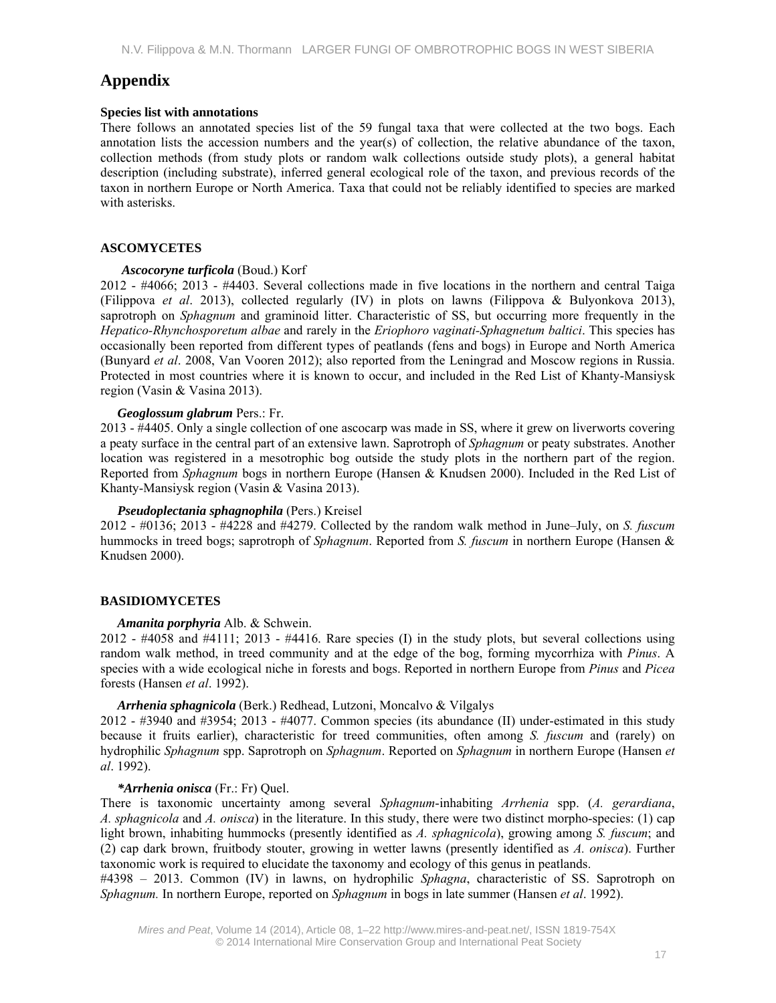# **Appendix**

### **Species list with annotations**

There follows an annotated species list of the 59 fungal taxa that were collected at the two bogs. Each annotation lists the accession numbers and the year(s) of collection, the relative abundance of the taxon, collection methods (from study plots or random walk collections outside study plots), a general habitat description (including substrate), inferred general ecological role of the taxon, and previous records of the taxon in northern Europe or North America. Taxa that could not be reliably identified to species are marked with asterisks.

# **ASCOMYCETES**

#### *Ascocoryne turficola* (Boud.) Korf

2012 - #4066; 2013 - #4403. Several collections made in five locations in the northern and central Taiga (Filippova *et al*. 2013), collected regularly (IV) in plots on lawns (Filippova & Bulyonkova 2013), saprotroph on *Sphagnum* and graminoid litter. Characteristic of SS, but occurring more frequently in the *Hepatico-Rhynchosporetum albae* and rarely in the *Eriophoro vaginati-Sphagnetum baltici*. This species has occasionally been reported from different types of peatlands (fens and bogs) in Europe and North America (Bunyard *et al*. 2008, Van Vooren 2012); also reported from the Leningrad and Moscow regions in Russia. Protected in most countries where it is known to occur, and included in the Red List of Khanty-Mansiysk region (Vasin & Vasina 2013).

## *Geoglossum glabrum* Pers.: Fr.

2013 - #4405. Only a single collection of one ascocarp was made in SS, where it grew on liverworts covering a peaty surface in the central part of an extensive lawn. Saprotroph of *Sphagnum* or peaty substrates. Another location was registered in a mesotrophic bog outside the study plots in the northern part of the region. Reported from *Sphagnum* bogs in northern Europe (Hansen & Knudsen 2000). Included in the Red List of Khanty-Mansiysk region (Vasin & Vasina 2013).

#### *Pseudoplectania sphagnophila* (Pers.) Kreisel

2012 - #0136; 2013 - #4228 and #4279. Collected by the random walk method in June–July, on *S. fuscum* hummocks in treed bogs; saprotroph of *Sphagnum*. Reported from *S. fuscum* in northern Europe (Hansen & Knudsen 2000).

# **BASIDIOMYCETES**

#### *Amanita porphyria* Alb. & Schwein.

2012 - #4058 and #4111; 2013 - #4416. Rare species (I) in the study plots, but several collections using random walk method, in treed community and at the edge of the bog, forming mycorrhiza with *Pinus*. A species with a wide ecological niche in forests and bogs. Reported in northern Europe from *Pinus* and *Picea* forests (Hansen *et al*. 1992).

## *Arrhenia sphagnicola* (Berk.) Redhead, Lutzoni, Moncalvo & Vilgalys

2012 - #3940 and #3954; 2013 - #4077. Common species (its abundance (II) under-estimated in this study because it fruits earlier), characteristic for treed communities, often among *S. fuscum* and (rarely) on hydrophilic *Sphagnum* spp. Saprotroph on *Sphagnum*. Reported on *Sphagnum* in northern Europe (Hansen *et al*. 1992).

#### *\*Arrhenia onisca* (Fr.: Fr) Quel.

There is taxonomic uncertainty among several *Sphagnum*-inhabiting *Arrhenia* spp. (*A. gerardiana*, *A. sphagnicola* and *A. onisca*) in the literature. In this study, there were two distinct morpho-species: (1) cap light brown, inhabiting hummocks (presently identified as *A. sphagnicola*), growing among *S. fuscum*; and (2) cap dark brown, fruitbody stouter, growing in wetter lawns (presently identified as *A. onisca*). Further taxonomic work is required to elucidate the taxonomy and ecology of this genus in peatlands.

#4398 – 2013. Common (IV) in lawns, on hydrophilic *Sphagna*, characteristic of SS. Saprotroph on *Sphagnum.* In northern Europe, reported on *Sphagnum* in bogs in late summer (Hansen *et al*. 1992).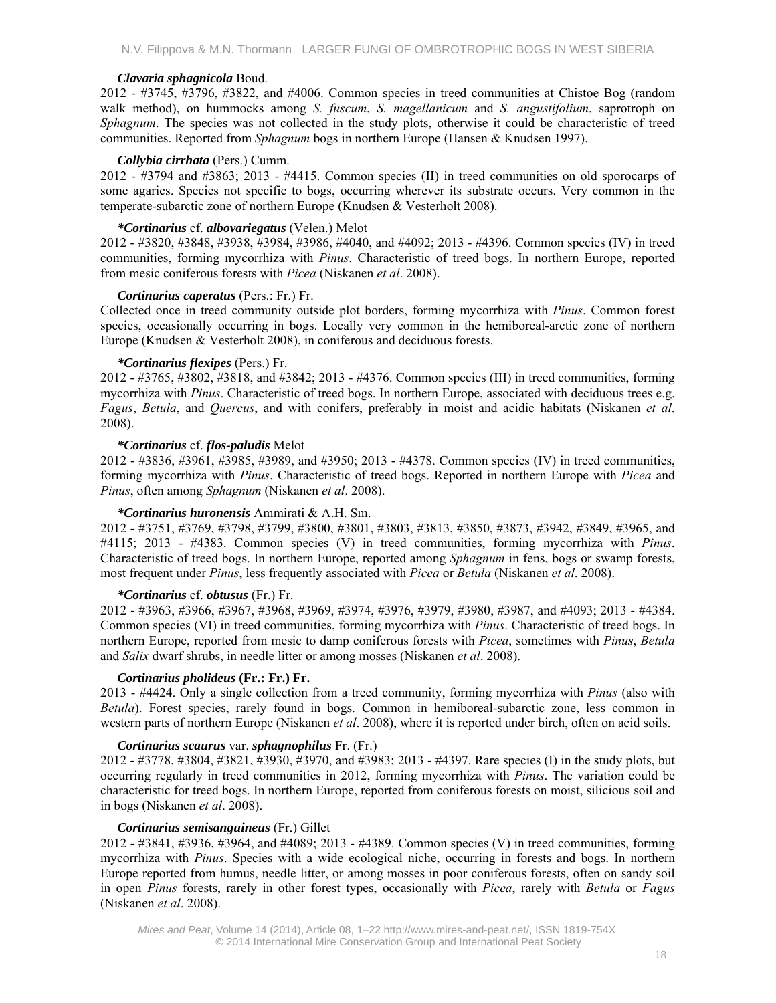## *Clavaria sphagnicola* Boud.

2012 - #3745, #3796, #3822, and #4006. Common species in treed communities at Chistoe Bog (random walk method), on hummocks among *S. fuscum*, *S. magellanicum* and *S. angustifolium*, saprotroph on *Sphagnum*. The species was not collected in the study plots, otherwise it could be characteristic of treed communities. Reported from *Sphagnum* bogs in northern Europe (Hansen & Knudsen 1997).

## *Collybia cirrhata* (Pers.) Cumm.

2012 - #3794 and #3863; 2013 - #4415. Common species (II) in treed communities on old sporocarps of some agarics. Species not specific to bogs, occurring wherever its substrate occurs. Very common in the temperate-subarctic zone of northern Europe (Knudsen & Vesterholt 2008).

## *\*Cortinarius* cf. *albovariegatus* (Velen.) Melot

2012 - #3820, #3848, #3938, #3984, #3986, #4040, and #4092; 2013 - #4396. Common species (IV) in treed communities, forming mycorrhiza with *Pinus*. Characteristic of treed bogs. In northern Europe, reported from mesic coniferous forests with *Picea* (Niskanen *et al*. 2008).

## *Cortinarius caperatus* (Pers.: Fr.) Fr.

Collected once in treed community outside plot borders, forming mycorrhiza with *Pinus*. Common forest species, occasionally occurring in bogs. Locally very common in the hemiboreal-arctic zone of northern Europe (Knudsen & Vesterholt 2008), in coniferous and deciduous forests.

## *\*Cortinarius flexipes* (Pers.) Fr.

2012 - #3765, #3802, #3818, and #3842; 2013 - #4376. Common species (III) in treed communities, forming mycorrhiza with *Pinus*. Characteristic of treed bogs. In northern Europe, associated with deciduous trees e.g. *Fagus*, *Betula*, and *Quercus*, and with conifers, preferably in moist and acidic habitats (Niskanen *et al*. 2008).

## *\*Cortinarius* cf. *flos-paludis* Melot

2012 - #3836, #3961, #3985, #3989, and #3950; 2013 - #4378. Common species (IV) in treed communities, forming mycorrhiza with *Pinus*. Characteristic of treed bogs. Reported in northern Europe with *Picea* and *Pinus*, often among *Sphagnum* (Niskanen *et al*. 2008).

# *\*Cortinarius huronensis* Ammirati & A.H. Sm.

2012 - #3751, #3769, #3798, #3799, #3800, #3801, #3803, #3813, #3850, #3873, #3942, #3849, #3965, and #4115; 2013 - #4383. Common species (V) in treed communities, forming mycorrhiza with *Pinus*. Characteristic of treed bogs. In northern Europe, reported among *Sphagnum* in fens, bogs or swamp forests, most frequent under *Pinus*, less frequently associated with *Picea* or *Betula* (Niskanen *et al*. 2008).

# *\*Cortinarius* cf. *obtusus* (Fr.) Fr.

2012 - #3963, #3966, #3967, #3968, #3969, #3974, #3976, #3979, #3980, #3987, and #4093; 2013 - #4384. Common species (VI) in treed communities, forming mycorrhiza with *Pinus*. Characteristic of treed bogs. In northern Europe, reported from mesic to damp coniferous forests with *Picea*, sometimes with *Pinus*, *Betula*  and *Salix* dwarf shrubs, in needle litter or among mosses (Niskanen *et al*. 2008).

# *Cortinarius pholideus* **(Fr.: Fr.) Fr.**

2013 - #4424. Only a single collection from a treed community, forming mycorrhiza with *Pinus* (also with *Betula*). Forest species, rarely found in bogs. Common in hemiboreal-subarctic zone, less common in western parts of northern Europe (Niskanen *et al*. 2008), where it is reported under birch, often on acid soils.

# *Cortinarius scaurus* var. *sphagnophilus* Fr. (Fr.)

2012 - #3778, #3804, #3821, #3930, #3970, and #3983; 2013 - #4397. Rare species (I) in the study plots, but occurring regularly in treed communities in 2012, forming mycorrhiza with *Pinus*. The variation could be characteristic for treed bogs. In northern Europe, reported from coniferous forests on moist, silicious soil and in bogs (Niskanen *et al*. 2008).

#### *Cortinarius semisanguineus* (Fr.) Gillet

2012 - #3841, #3936, #3964, and #4089; 2013 - #4389. Common species (V) in treed communities, forming mycorrhiza with *Pinus*. Species with a wide ecological niche, occurring in forests and bogs. In northern Europe reported from humus, needle litter, or among mosses in poor coniferous forests, often on sandy soil in open *Pinus* forests, rarely in other forest types, occasionally with *Picea*, rarely with *Betula* or *Fagus*  (Niskanen *et al*. 2008).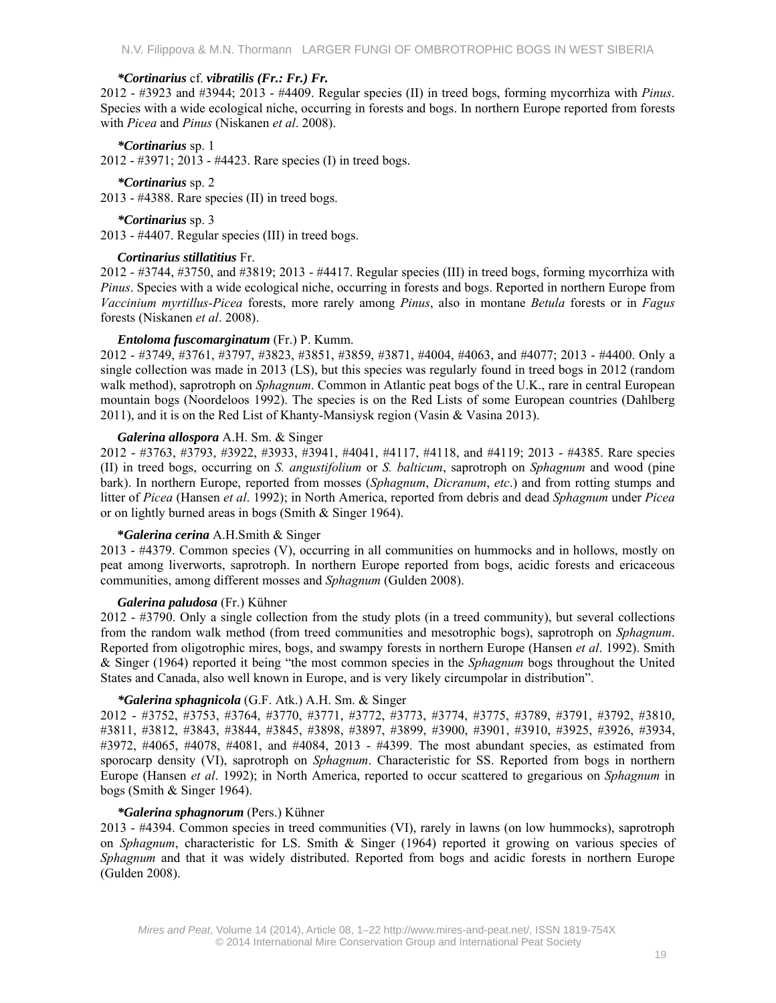#### *\*Cortinarius* cf. *vibratilis (Fr.: Fr.) Fr.*

2012 - #3923 and #3944; 2013 - #4409. Regular species (II) in treed bogs, forming mycorrhiza with *Pinus*. Species with a wide ecological niche, occurring in forests and bogs. In northern Europe reported from forests with *Picea* and *Pinus* (Niskanen *et al*. 2008).

#### *\*Cortinarius* sp. 1

2012 - #3971; 2013 - #4423. Rare species (I) in treed bogs.

*\*Cortinarius* sp. 2 2013 - #4388. Rare species (II) in treed bogs.

*\*Cortinarius* sp. 3 2013 - #4407. Regular species (III) in treed bogs.

#### *Cortinarius stillatitius* Fr.

2012 - #3744, #3750, and #3819; 2013 - #4417. Regular species (III) in treed bogs, forming mycorrhiza with *Pinus*. Species with a wide ecological niche, occurring in forests and bogs. Reported in northern Europe from *Vaccinium myrtillus-Picea* forests, more rarely among *Pinus*, also in montane *Betula* forests or in *Fagus*  forests (Niskanen *et al*. 2008).

#### *Entoloma fuscomarginatum* (Fr.) P. Kumm.

2012 - #3749, #3761, #3797, #3823, #3851, #3859, #3871, #4004, #4063, and #4077; 2013 - #4400. Only a single collection was made in 2013 (LS), but this species was regularly found in treed bogs in 2012 (random walk method), saprotroph on *Sphagnum*. Common in Atlantic peat bogs of the U.K., rare in central European mountain bogs (Noordeloos 1992). The species is on the Red Lists of some European countries (Dahlberg 2011), and it is on the Red List of Khanty-Mansiysk region (Vasin & Vasina 2013).

#### *Galerina allospora* A.H. Sm. & Singer

2012 - #3763, #3793, #3922, #3933, #3941, #4041, #4117, #4118, and #4119; 2013 - #4385. Rare species (II) in treed bogs, occurring on *S. angustifolium* or *S. balticum*, saprotroph on *Sphagnum* and wood (pine bark). In northern Europe, reported from mosses (*Sphagnum*, *Dicranum*, *etc*.) and from rotting stumps and litter of *Picea* (Hansen *et al*. 1992); in North America, reported from debris and dead *Sphagnum* under *Picea* or on lightly burned areas in bogs (Smith & Singer 1964).

#### **\****Galerina cerina* A.H.Smith & Singer

2013 - #4379. Common species (V), occurring in all communities on hummocks and in hollows, mostly on peat among liverworts, saprotroph. In northern Europe reported from bogs, acidic forests and ericaceous communities, among different mosses and *Sphagnum* (Gulden 2008).

### *Galerina paludosa* (Fr.) Kühner

2012 - #3790. Only a single collection from the study plots (in a treed community), but several collections from the random walk method (from treed communities and mesotrophic bogs), saprotroph on *Sphagnum*. Reported from oligotrophic mires, bogs, and swampy forests in northern Europe (Hansen *et al*. 1992). Smith & Singer (1964) reported it being "the most common species in the *Sphagnum* bogs throughout the United States and Canada, also well known in Europe, and is very likely circumpolar in distribution".

#### *\*Galerina sphagnicola* (G.F. Atk.) A.H. Sm. & Singer

2012 - #3752, #3753, #3764, #3770, #3771, #3772, #3773, #3774, #3775, #3789, #3791, #3792, #3810, #3811, #3812, #3843, #3844, #3845, #3898, #3897, #3899, #3900, #3901, #3910, #3925, #3926, #3934, #3972, #4065, #4078, #4081, and #4084, 2013 - #4399. The most abundant species, as estimated from sporocarp density (VI), saprotroph on *Sphagnum*. Characteristic for SS. Reported from bogs in northern Europe (Hansen *et al*. 1992); in North America, reported to occur scattered to gregarious on *Sphagnum* in bogs (Smith & Singer 1964).

#### *\*Galerina sphagnorum* (Pers.) Kühner

2013 - #4394. Common species in treed communities (VI), rarely in lawns (on low hummocks), saprotroph on *Sphagnum*, characteristic for LS. Smith & Singer (1964) reported it growing on various species of *Sphagnum* and that it was widely distributed. Reported from bogs and acidic forests in northern Europe (Gulden 2008).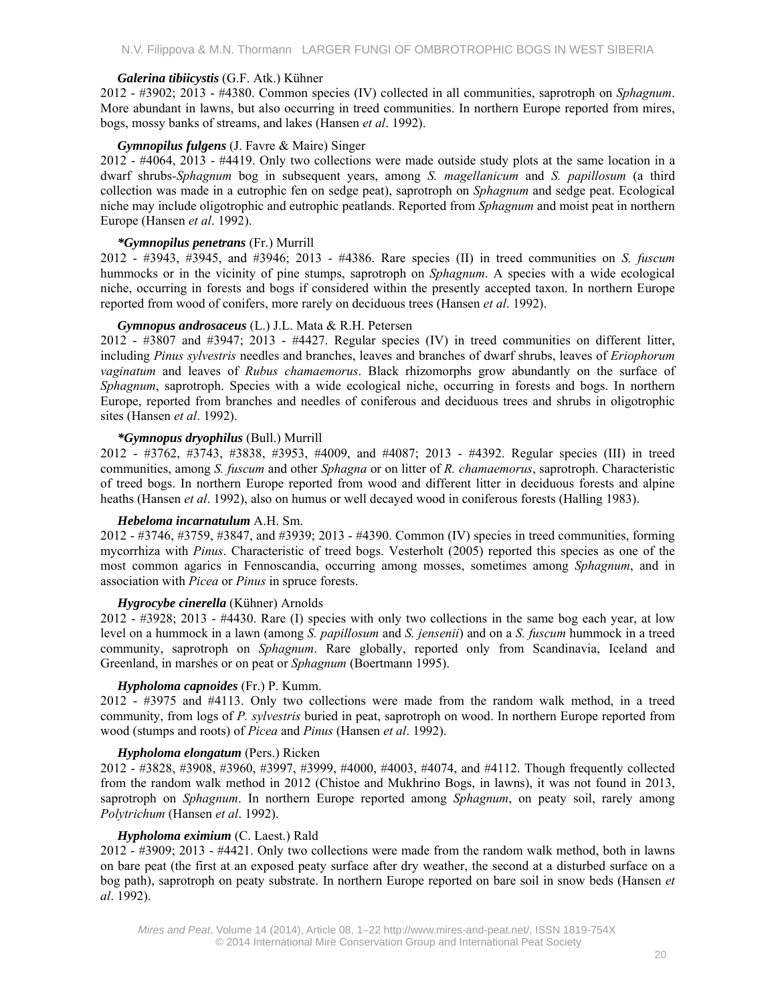### *Galerina tibiicystis* (G.F. Atk.) Kühner

2012 - #3902; 2013 - #4380. Common species (IV) collected in all communities, saprotroph on *Sphagnum*. More abundant in lawns, but also occurring in treed communities. In northern Europe reported from mires, bogs, mossy banks of streams, and lakes (Hansen *et al*. 1992).

## *Gymnopilus fulgens* (J. Favre & Maire) Singer

2012 - #4064, 2013 - #4419. Only two collections were made outside study plots at the same location in a dwarf shrubs*-Sphagnum* bog in subsequent years, among *S. magellanicum* and *S. papillosum* (a third collection was made in a eutrophic fen on sedge peat), saprotroph on *Sphagnum* and sedge peat. Ecological niche may include oligotrophic and eutrophic peatlands. Reported from *Sphagnum* and moist peat in northern Europe (Hansen *et al*. 1992).

## *\*Gymnopilus penetrans* (Fr.) Murrill

2012 - #3943, #3945, and #3946; 2013 - #4386. Rare species (II) in treed communities on *S. fuscum* hummocks or in the vicinity of pine stumps, saprotroph on *Sphagnum*. A species with a wide ecological niche, occurring in forests and bogs if considered within the presently accepted taxon. In northern Europe reported from wood of conifers, more rarely on deciduous trees (Hansen *et al*. 1992).

## *Gymnopus androsaceus* (L.) J.L. Mata & R.H. Petersen

2012 - #3807 and #3947; 2013 - #4427. Regular species (IV) in treed communities on different litter, including *Pinus sylvestris* needles and branches, leaves and branches of dwarf shrubs, leaves of *Eriophorum vaginatum* and leaves of *Rubus chamaemorus*. Black rhizomorphs grow abundantly on the surface of *Sphagnum*, saprotroph. Species with a wide ecological niche, occurring in forests and bogs. In northern Europe, reported from branches and needles of coniferous and deciduous trees and shrubs in oligotrophic sites (Hansen *et al*. 1992).

## *\*Gymnopus dryophilus* (Bull.) Murrill

2012 - #3762, #3743, #3838, #3953, #4009, and #4087; 2013 - #4392. Regular species (III) in treed communities, among *S. fuscum* and other *Sphagna* or on litter of *R. chamaemorus*, saprotroph. Characteristic of treed bogs. In northern Europe reported from wood and different litter in deciduous forests and alpine heaths (Hansen *et al*. 1992), also on humus or well decayed wood in coniferous forests (Halling 1983).

#### *Hebeloma incarnatulum* A.H. Sm.

2012 - #3746, #3759, #3847, and #3939; 2013 - #4390. Common (IV) species in treed communities, forming mycorrhiza with *Pinus*. Characteristic of treed bogs. Vesterholt (2005) reported this species as one of the most common agarics in Fennoscandia, occurring among mosses, sometimes among *Sphagnum*, and in association with *Picea* or *Pinus* in spruce forests.

# *Hygrocybe cinerella* (Kühner) Arnolds

2012 - #3928; 2013 - #4430. Rare (I) species with only two collections in the same bog each year, at low level on a hummock in a lawn (among *S. papillosum* and *S. jensenii*) and on a *S. fuscum* hummock in a treed community, saprotroph on *Sphagnum*. Rare globally, reported only from Scandinavia, Iceland and Greenland, in marshes or on peat or *Sphagnum* (Boertmann 1995).

# *Hypholoma capnoides* (Fr.) P. Kumm.

2012 - #3975 and #4113. Only two collections were made from the random walk method, in a treed community, from logs of *P. sylvestris* buried in peat, saprotroph on wood. In northern Europe reported from wood (stumps and roots) of *Picea* and *Pinus* (Hansen *et al*. 1992).

# *Hypholoma elongatum* (Pers.) Ricken

2012 - #3828, #3908, #3960, #3997, #3999, #4000, #4003, #4074, and #4112. Though frequently collected from the random walk method in 2012 (Chistoe and Mukhrino Bogs, in lawns), it was not found in 2013, saprotroph on *Sphagnum*. In northern Europe reported among *Sphagnum*, on peaty soil, rarely among *Polytrichum* (Hansen *et al*. 1992).

#### *Hypholoma eximium* (C. Laest.) Rald

2012 - #3909; 2013 - #4421. Only two collections were made from the random walk method, both in lawns on bare peat (the first at an exposed peaty surface after dry weather, the second at a disturbed surface on a bog path), saprotroph on peaty substrate. In northern Europe reported on bare soil in snow beds (Hansen *et al*. 1992).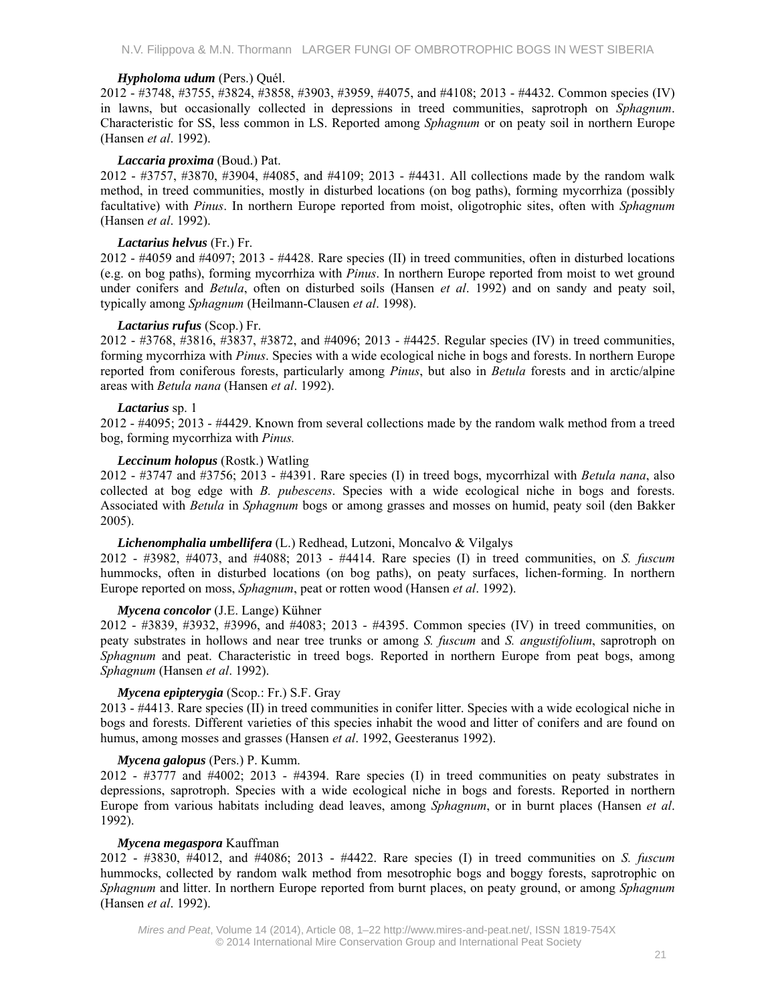### *Hypholoma udum* (Pers.) Quél.

2012 - #3748, #3755, #3824, #3858, #3903, #3959, #4075, and #4108; 2013 - #4432. Common species (IV) in lawns, but occasionally collected in depressions in treed communities, saprotroph on *Sphagnum*. Characteristic for SS, less common in LS. Reported among *Sphagnum* or on peaty soil in northern Europe (Hansen *et al*. 1992).

## *Laccaria proxima* (Boud.) Pat.

2012 - #3757, #3870, #3904, #4085, and #4109; 2013 - #4431. All collections made by the random walk method, in treed communities, mostly in disturbed locations (on bog paths), forming mycorrhiza (possibly facultative) with *Pinus*. In northern Europe reported from moist, oligotrophic sites, often with *Sphagnum* (Hansen *et al*. 1992).

## *Lactarius helvus* (Fr.) Fr.

2012 - #4059 and #4097; 2013 - #4428. Rare species (II) in treed communities, often in disturbed locations (e.g. on bog paths), forming mycorrhiza with *Pinus*. In northern Europe reported from moist to wet ground under conifers and *Betula*, often on disturbed soils (Hansen *et al*. 1992) and on sandy and peaty soil, typically among *Sphagnum* (Heilmann-Clausen *et al*. 1998).

# *Lactarius rufus* (Scop.) Fr.

2012 - #3768, #3816, #3837, #3872, and #4096; 2013 - #4425. Regular species (IV) in treed communities, forming mycorrhiza with *Pinus*. Species with a wide ecological niche in bogs and forests. In northern Europe reported from coniferous forests, particularly among *Pinus*, but also in *Betula* forests and in arctic/alpine areas with *Betula nana* (Hansen *et al*. 1992).

## *Lactarius* sp. 1

2012 - #4095; 2013 - #4429. Known from several collections made by the random walk method from a treed bog, forming mycorrhiza with *Pinus.*

## *Leccinum holopus* (Rostk.) Watling

2012 - #3747 and #3756; 2013 - #4391. Rare species (I) in treed bogs, mycorrhizal with *Betula nana*, also collected at bog edge with *B. pubescens*. Species with a wide ecological niche in bogs and forests. Associated with *Betula* in *Sphagnum* bogs or among grasses and mosses on humid, peaty soil (den Bakker 2005).

## *Lichenomphalia umbellifera* (L.) Redhead, Lutzoni, Moncalvo & Vilgalys

2012 - #3982, #4073, and #4088; 2013 - #4414. Rare species (I) in treed communities, on *S. fuscum* hummocks, often in disturbed locations (on bog paths), on peaty surfaces, lichen-forming. In northern Europe reported on moss, *Sphagnum*, peat or rotten wood (Hansen *et al*. 1992).

# *Mycena concolor* (J.E. Lange) Kühner

2012 - #3839, #3932, #3996, and #4083; 2013 - #4395. Common species (IV) in treed communities, on peaty substrates in hollows and near tree trunks or among *S. fuscum* and *S. angustifolium*, saprotroph on *Sphagnum* and peat. Characteristic in treed bogs. Reported in northern Europe from peat bogs, among *Sphagnum* (Hansen *et al*. 1992).

# *Mycena epipterygia* (Scop.: Fr.) S.F. Gray

2013 - #4413. Rare species (II) in treed communities in conifer litter. Species with a wide ecological niche in bogs and forests. Different varieties of this species inhabit the wood and litter of conifers and are found on humus, among mosses and grasses (Hansen *et al*. 1992, Geesteranus 1992).

#### *Mycena galopus* (Pers.) P. Kumm.

2012 - #3777 and #4002; 2013 - #4394. Rare species (I) in treed communities on peaty substrates in depressions, saprotroph. Species with a wide ecological niche in bogs and forests. Reported in northern Europe from various habitats including dead leaves, among *Sphagnum*, or in burnt places (Hansen *et al*. 1992).

# *Mycena megaspora* Kauffman

2012 - #3830, #4012, and #4086; 2013 - #4422. Rare species (I) in treed communities on *S. fuscum* hummocks, collected by random walk method from mesotrophic bogs and boggy forests, saprotrophic on *Sphagnum* and litter. In northern Europe reported from burnt places, on peaty ground, or among *Sphagnum* (Hansen *et al*. 1992).